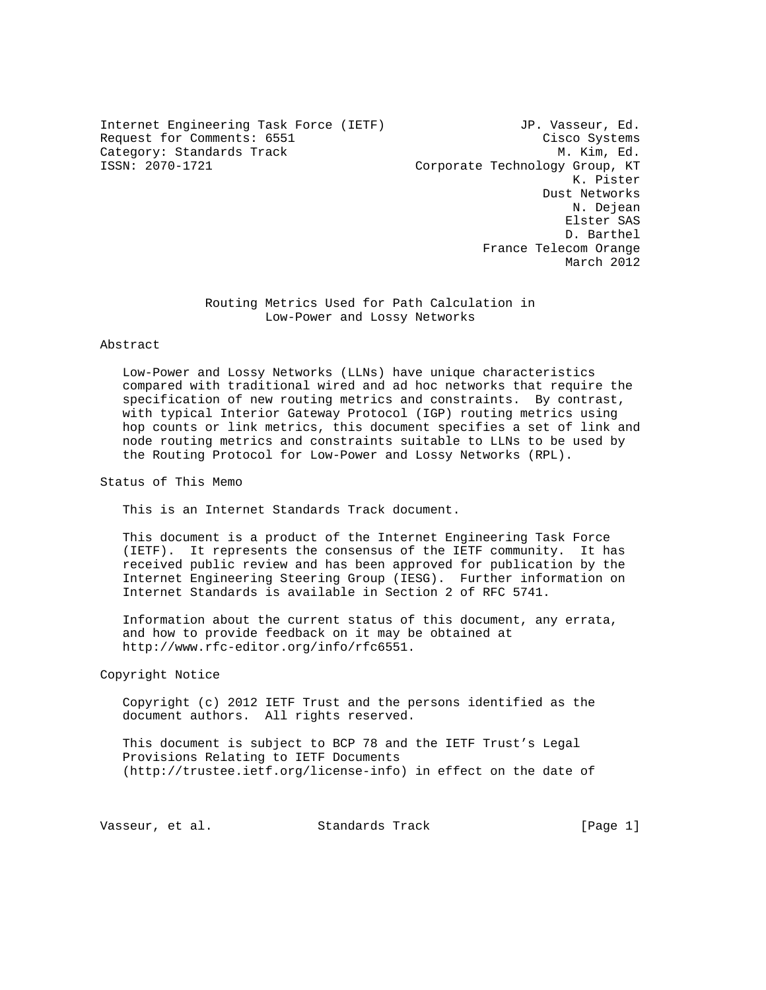Internet Engineering Task Force (IETF) JP. Vasseur, Ed. Request for Comments: 6551 Cisco Systems Category: Standards Track M. Kim, Ed.<br>1970–1721 - Corporate Technology Group, KT

Corporate Technology Group, KT K. Pister Dust Networks N. Dejean Elster SAS D. Barthel France Telecom Orange March 2012

### Routing Metrics Used for Path Calculation in Low-Power and Lossy Networks

# Abstract

 Low-Power and Lossy Networks (LLNs) have unique characteristics compared with traditional wired and ad hoc networks that require the specification of new routing metrics and constraints. By contrast, with typical Interior Gateway Protocol (IGP) routing metrics using hop counts or link metrics, this document specifies a set of link and node routing metrics and constraints suitable to LLNs to be used by the Routing Protocol for Low-Power and Lossy Networks (RPL).

Status of This Memo

This is an Internet Standards Track document.

 This document is a product of the Internet Engineering Task Force (IETF). It represents the consensus of the IETF community. It has received public review and has been approved for publication by the Internet Engineering Steering Group (IESG). Further information on Internet Standards is available in Section 2 of RFC 5741.

 Information about the current status of this document, any errata, and how to provide feedback on it may be obtained at http://www.rfc-editor.org/info/rfc6551.

Copyright Notice

 Copyright (c) 2012 IETF Trust and the persons identified as the document authors. All rights reserved.

 This document is subject to BCP 78 and the IETF Trust's Legal Provisions Relating to IETF Documents (http://trustee.ietf.org/license-info) in effect on the date of

Vasseur, et al. Standards Track [Page 1]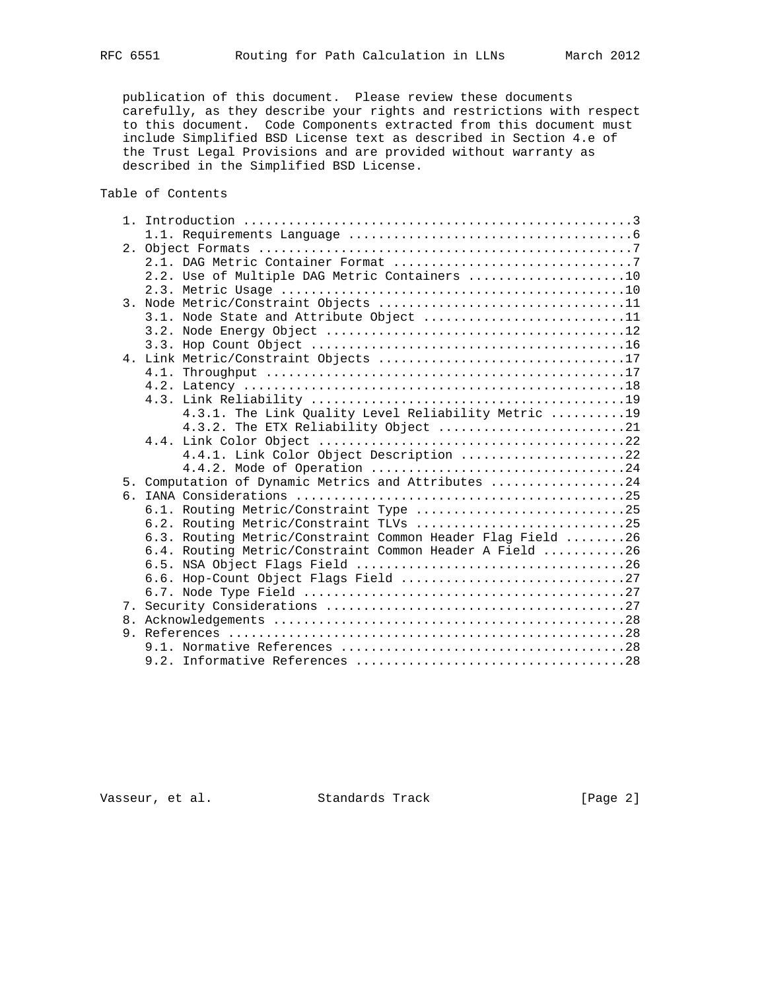publication of this document. Please review these documents carefully, as they describe your rights and restrictions with respect to this document. Code Components extracted from this document must include Simplified BSD License text as described in Section 4.e of the Trust Legal Provisions and are provided without warranty as described in the Simplified BSD License.

# Table of Contents

|                  | 2.2. Use of Multiple DAG Metric Containers 10              |
|------------------|------------------------------------------------------------|
|                  |                                                            |
| $\overline{3}$ . | Node Metric/Constraint Objects 11                          |
|                  | 3.1. Node State and Attribute Object 11                    |
|                  |                                                            |
|                  |                                                            |
|                  | 4. Link Metric/Constraint Objects 17                       |
|                  |                                                            |
|                  |                                                            |
|                  |                                                            |
|                  | 4.3.1. The Link Quality Level Reliability Metric 19        |
|                  | 4.3.2. The ETX Reliability Object 21                       |
|                  |                                                            |
|                  | 4.4.1. Link Color Object Description 22                    |
|                  |                                                            |
|                  | 5. Computation of Dynamic Metrics and Attributes 24        |
|                  |                                                            |
|                  | 6.1. Routing Metric/Constraint Type 25                     |
|                  | 6.2. Routing Metric/Constraint TLVs 25                     |
|                  | 6.3. Routing Metric/Constraint Common Header Flag Field 26 |
|                  | 6.4. Routing Metric/Constraint Common Header A Field 26    |
|                  |                                                            |
|                  |                                                            |
|                  |                                                            |
|                  |                                                            |
|                  |                                                            |
|                  |                                                            |
|                  |                                                            |
|                  |                                                            |

Vasseur, et al. Standards Track [Page 2]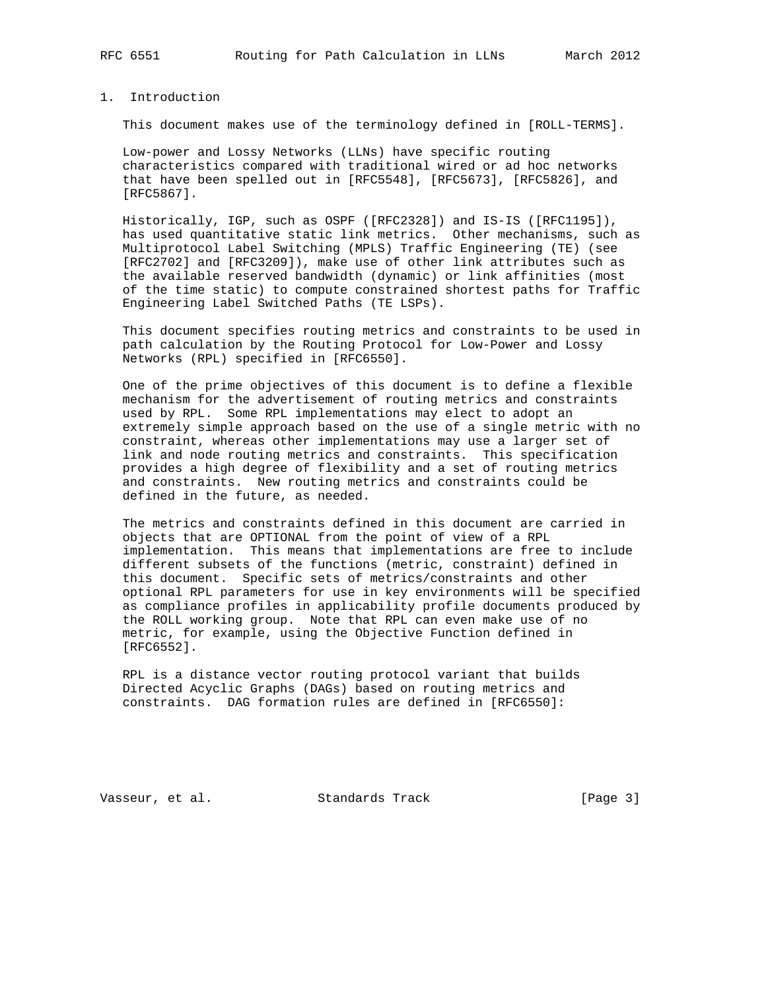## 1. Introduction

This document makes use of the terminology defined in [ROLL-TERMS].

 Low-power and Lossy Networks (LLNs) have specific routing characteristics compared with traditional wired or ad hoc networks that have been spelled out in [RFC5548], [RFC5673], [RFC5826], and [RFC5867].

 Historically, IGP, such as OSPF ([RFC2328]) and IS-IS ([RFC1195]), has used quantitative static link metrics. Other mechanisms, such as Multiprotocol Label Switching (MPLS) Traffic Engineering (TE) (see [RFC2702] and [RFC3209]), make use of other link attributes such as the available reserved bandwidth (dynamic) or link affinities (most of the time static) to compute constrained shortest paths for Traffic Engineering Label Switched Paths (TE LSPs).

 This document specifies routing metrics and constraints to be used in path calculation by the Routing Protocol for Low-Power and Lossy Networks (RPL) specified in [RFC6550].

 One of the prime objectives of this document is to define a flexible mechanism for the advertisement of routing metrics and constraints used by RPL. Some RPL implementations may elect to adopt an extremely simple approach based on the use of a single metric with no constraint, whereas other implementations may use a larger set of link and node routing metrics and constraints. This specification provides a high degree of flexibility and a set of routing metrics and constraints. New routing metrics and constraints could be defined in the future, as needed.

 The metrics and constraints defined in this document are carried in objects that are OPTIONAL from the point of view of a RPL implementation. This means that implementations are free to include different subsets of the functions (metric, constraint) defined in this document. Specific sets of metrics/constraints and other optional RPL parameters for use in key environments will be specified as compliance profiles in applicability profile documents produced by the ROLL working group. Note that RPL can even make use of no metric, for example, using the Objective Function defined in [RFC6552].

 RPL is a distance vector routing protocol variant that builds Directed Acyclic Graphs (DAGs) based on routing metrics and constraints. DAG formation rules are defined in [RFC6550]:

Vasseur, et al. Standards Track [Page 3]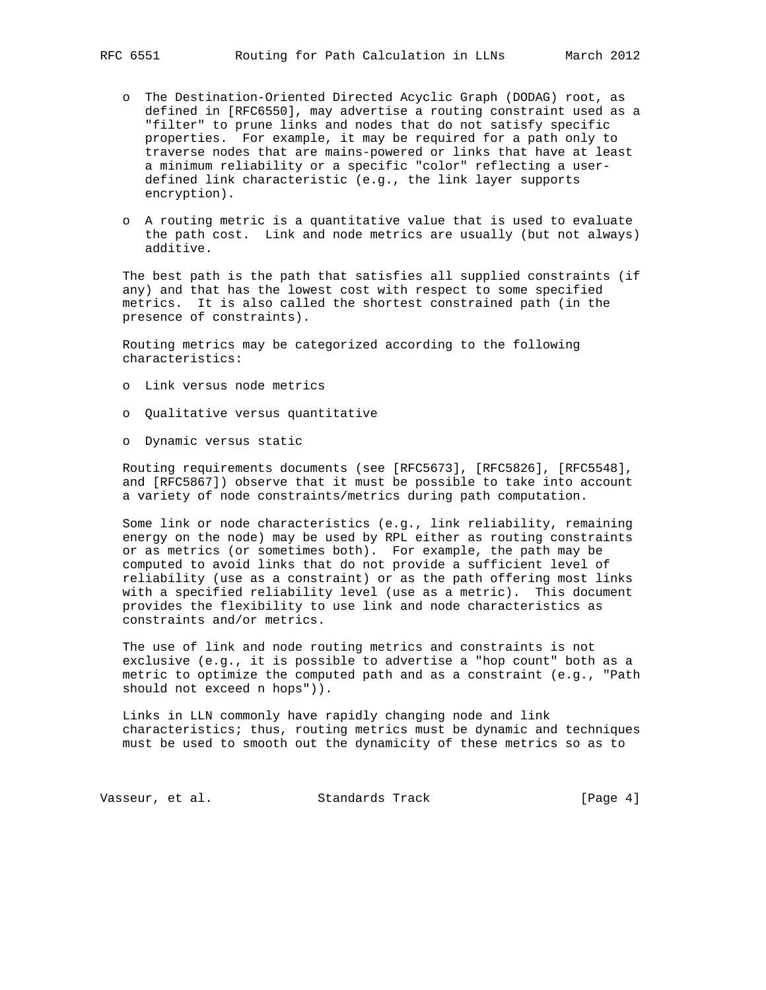- o The Destination-Oriented Directed Acyclic Graph (DODAG) root, as defined in [RFC6550], may advertise a routing constraint used as a "filter" to prune links and nodes that do not satisfy specific properties. For example, it may be required for a path only to traverse nodes that are mains-powered or links that have at least a minimum reliability or a specific "color" reflecting a user defined link characteristic (e.g., the link layer supports encryption).
- o A routing metric is a quantitative value that is used to evaluate the path cost. Link and node metrics are usually (but not always) additive.

 The best path is the path that satisfies all supplied constraints (if any) and that has the lowest cost with respect to some specified metrics. It is also called the shortest constrained path (in the presence of constraints).

 Routing metrics may be categorized according to the following characteristics:

- o Link versus node metrics
- o Qualitative versus quantitative
- o Dynamic versus static

 Routing requirements documents (see [RFC5673], [RFC5826], [RFC5548], and [RFC5867]) observe that it must be possible to take into account a variety of node constraints/metrics during path computation.

 Some link or node characteristics (e.g., link reliability, remaining energy on the node) may be used by RPL either as routing constraints or as metrics (or sometimes both). For example, the path may be computed to avoid links that do not provide a sufficient level of reliability (use as a constraint) or as the path offering most links with a specified reliability level (use as a metric). This document provides the flexibility to use link and node characteristics as constraints and/or metrics.

 The use of link and node routing metrics and constraints is not exclusive (e.g., it is possible to advertise a "hop count" both as a metric to optimize the computed path and as a constraint (e.g., "Path should not exceed n hops")).

 Links in LLN commonly have rapidly changing node and link characteristics; thus, routing metrics must be dynamic and techniques must be used to smooth out the dynamicity of these metrics so as to

Vasseur, et al. Standards Track [Page 4]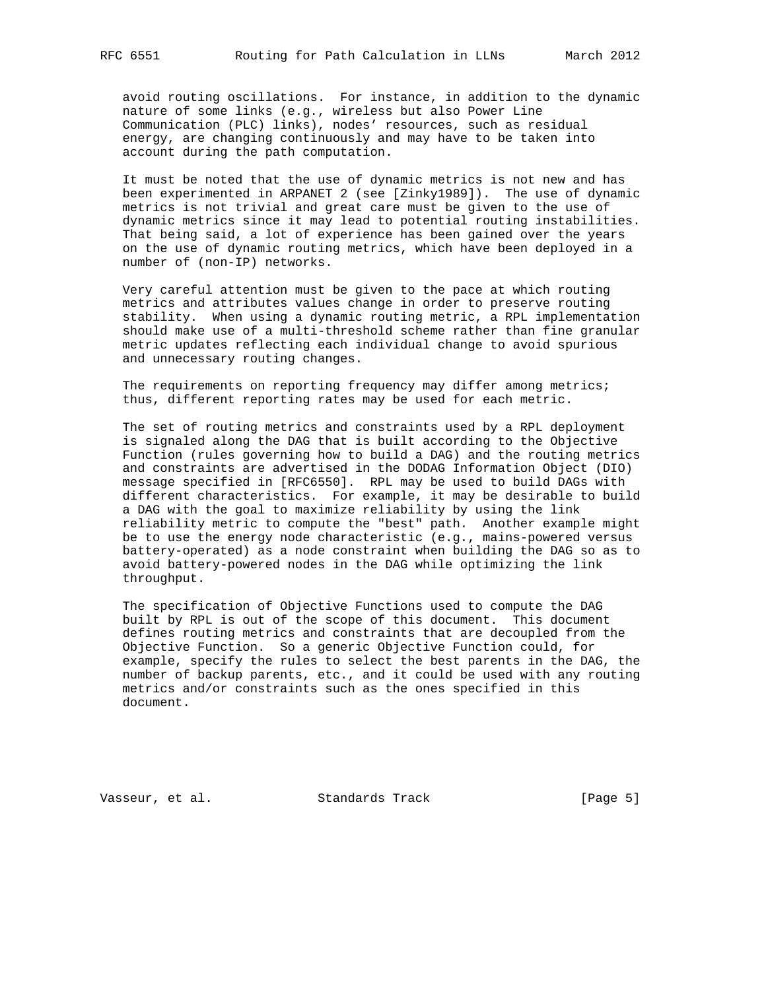avoid routing oscillations. For instance, in addition to the dynamic nature of some links (e.g., wireless but also Power Line Communication (PLC) links), nodes' resources, such as residual energy, are changing continuously and may have to be taken into account during the path computation.

 It must be noted that the use of dynamic metrics is not new and has been experimented in ARPANET 2 (see [Zinky1989]). The use of dynamic metrics is not trivial and great care must be given to the use of dynamic metrics since it may lead to potential routing instabilities. That being said, a lot of experience has been gained over the years on the use of dynamic routing metrics, which have been deployed in a number of (non-IP) networks.

 Very careful attention must be given to the pace at which routing metrics and attributes values change in order to preserve routing stability. When using a dynamic routing metric, a RPL implementation should make use of a multi-threshold scheme rather than fine granular metric updates reflecting each individual change to avoid spurious and unnecessary routing changes.

The requirements on reporting frequency may differ among metrics; thus, different reporting rates may be used for each metric.

 The set of routing metrics and constraints used by a RPL deployment is signaled along the DAG that is built according to the Objective Function (rules governing how to build a DAG) and the routing metrics and constraints are advertised in the DODAG Information Object (DIO) message specified in [RFC6550]. RPL may be used to build DAGs with different characteristics. For example, it may be desirable to build a DAG with the goal to maximize reliability by using the link reliability metric to compute the "best" path. Another example might be to use the energy node characteristic (e.g., mains-powered versus battery-operated) as a node constraint when building the DAG so as to avoid battery-powered nodes in the DAG while optimizing the link throughput.

 The specification of Objective Functions used to compute the DAG built by RPL is out of the scope of this document. This document defines routing metrics and constraints that are decoupled from the Objective Function. So a generic Objective Function could, for example, specify the rules to select the best parents in the DAG, the number of backup parents, etc., and it could be used with any routing metrics and/or constraints such as the ones specified in this document.

Vasseur, et al. Standards Track [Page 5]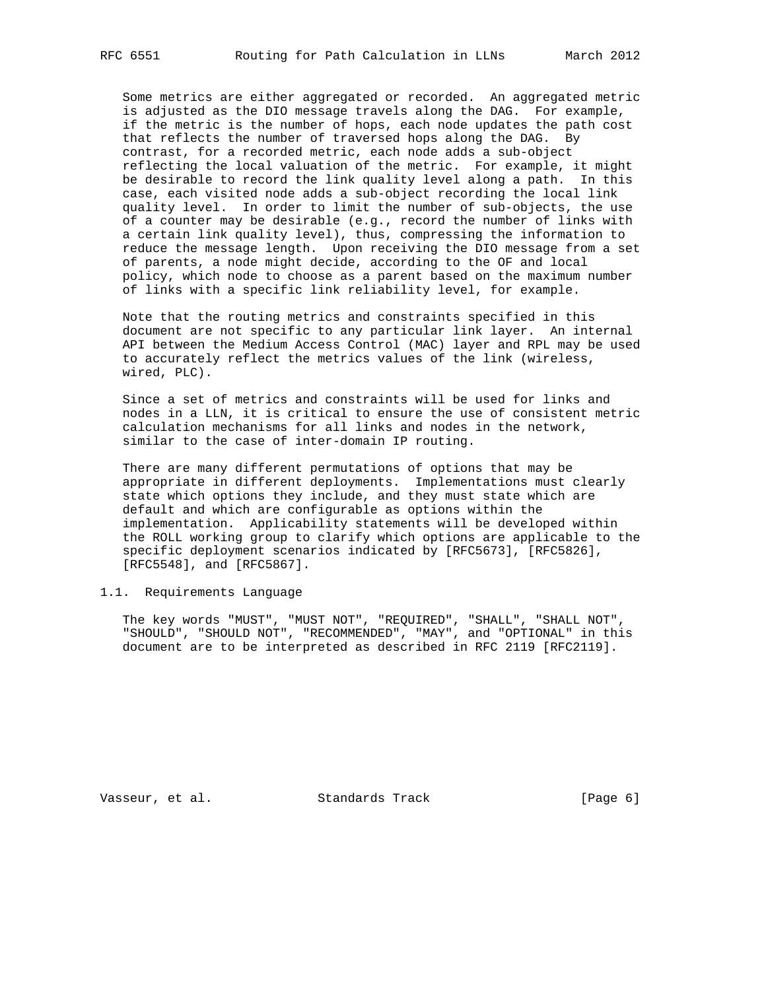Some metrics are either aggregated or recorded. An aggregated metric is adjusted as the DIO message travels along the DAG. For example, if the metric is the number of hops, each node updates the path cost that reflects the number of traversed hops along the DAG. By contrast, for a recorded metric, each node adds a sub-object reflecting the local valuation of the metric. For example, it might be desirable to record the link quality level along a path. In this case, each visited node adds a sub-object recording the local link quality level. In order to limit the number of sub-objects, the use of a counter may be desirable (e.g., record the number of links with a certain link quality level), thus, compressing the information to reduce the message length. Upon receiving the DIO message from a set of parents, a node might decide, according to the OF and local policy, which node to choose as a parent based on the maximum number of links with a specific link reliability level, for example.

 Note that the routing metrics and constraints specified in this document are not specific to any particular link layer. An internal API between the Medium Access Control (MAC) layer and RPL may be used to accurately reflect the metrics values of the link (wireless, wired, PLC).

 Since a set of metrics and constraints will be used for links and nodes in a LLN, it is critical to ensure the use of consistent metric calculation mechanisms for all links and nodes in the network, similar to the case of inter-domain IP routing.

 There are many different permutations of options that may be appropriate in different deployments. Implementations must clearly state which options they include, and they must state which are default and which are configurable as options within the implementation. Applicability statements will be developed within the ROLL working group to clarify which options are applicable to the specific deployment scenarios indicated by [RFC5673], [RFC5826], [RFC5548], and [RFC5867].

1.1. Requirements Language

 The key words "MUST", "MUST NOT", "REQUIRED", "SHALL", "SHALL NOT", "SHOULD", "SHOULD NOT", "RECOMMENDED", "MAY", and "OPTIONAL" in this document are to be interpreted as described in RFC 2119 [RFC2119].

Vasseur, et al. Standards Track [Page 6]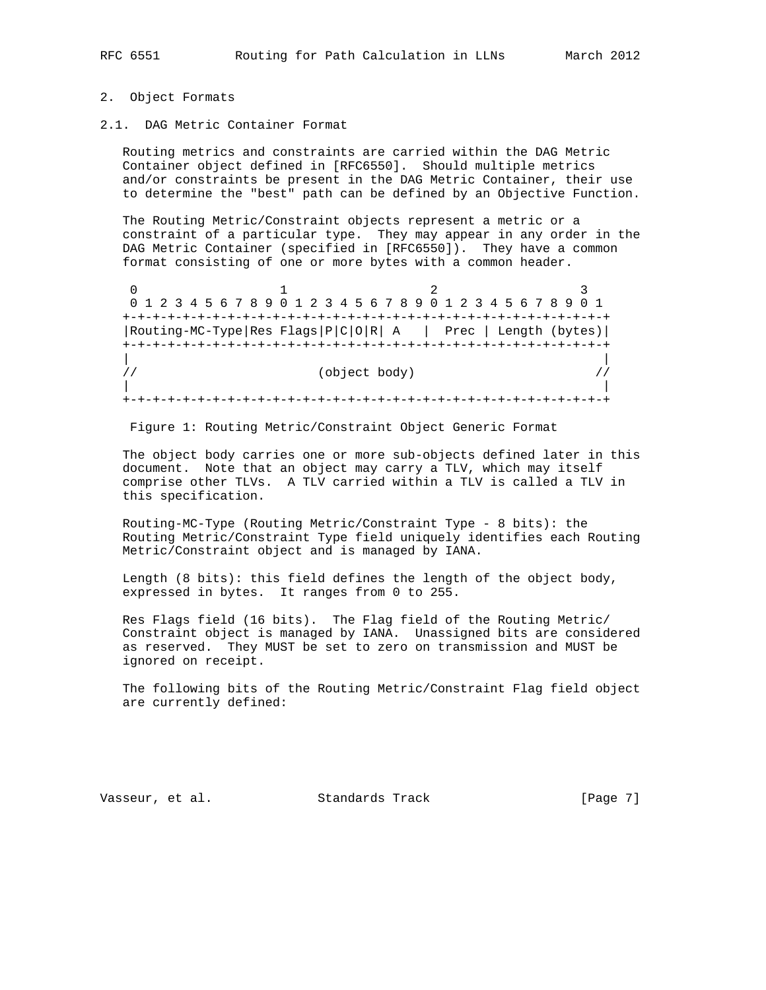### 2. Object Formats

2.1. DAG Metric Container Format

 Routing metrics and constraints are carried within the DAG Metric Container object defined in [RFC6550]. Should multiple metrics and/or constraints be present in the DAG Metric Container, their use to determine the "best" path can be defined by an Objective Function.

 The Routing Metric/Constraint objects represent a metric or a constraint of a particular type. They may appear in any order in the DAG Metric Container (specified in [RFC6550]). They have a common format consisting of one or more bytes with a common header.

0  $1$  2 3 0 1 2 3 4 5 6 7 8 9 0 1 2 3 4 5 6 7 8 9 0 1 2 3 4 5 6 7 8 9 0 1 +-+-+-+-+-+-+-+-+-+-+-+-+-+-+-+-+-+-+-+-+-+-+-+-+-+-+-+-+-+-+-+-+ |Routing-MC-Type|Res Flags|P|C|O|R| A | Prec | Length (bytes)| +-+-+-+-+-+-+-+-+-+-+-+-+-+-+-+-+-+-+-+-+-+-+-+-+-+-+-+-+-+-+-+-+ | |  $\frac{1}{2}$  (object body)  $\frac{1}{2}$  | | +-+-+-+-+-+-+-+-+-+-+-+-+-+-+-+-+-+-+-+-+-+-+-+-+-+-+-+-+-+-+-+-+

Figure 1: Routing Metric/Constraint Object Generic Format

 The object body carries one or more sub-objects defined later in this document. Note that an object may carry a TLV, which may itself comprise other TLVs. A TLV carried within a TLV is called a TLV in this specification.

 Routing-MC-Type (Routing Metric/Constraint Type - 8 bits): the Routing Metric/Constraint Type field uniquely identifies each Routing Metric/Constraint object and is managed by IANA.

 Length (8 bits): this field defines the length of the object body, expressed in bytes. It ranges from 0 to 255.

 Res Flags field (16 bits). The Flag field of the Routing Metric/ Constraint object is managed by IANA. Unassigned bits are considered as reserved. They MUST be set to zero on transmission and MUST be ignored on receipt.

 The following bits of the Routing Metric/Constraint Flag field object are currently defined:

Vasseur, et al. Standards Track [Page 7]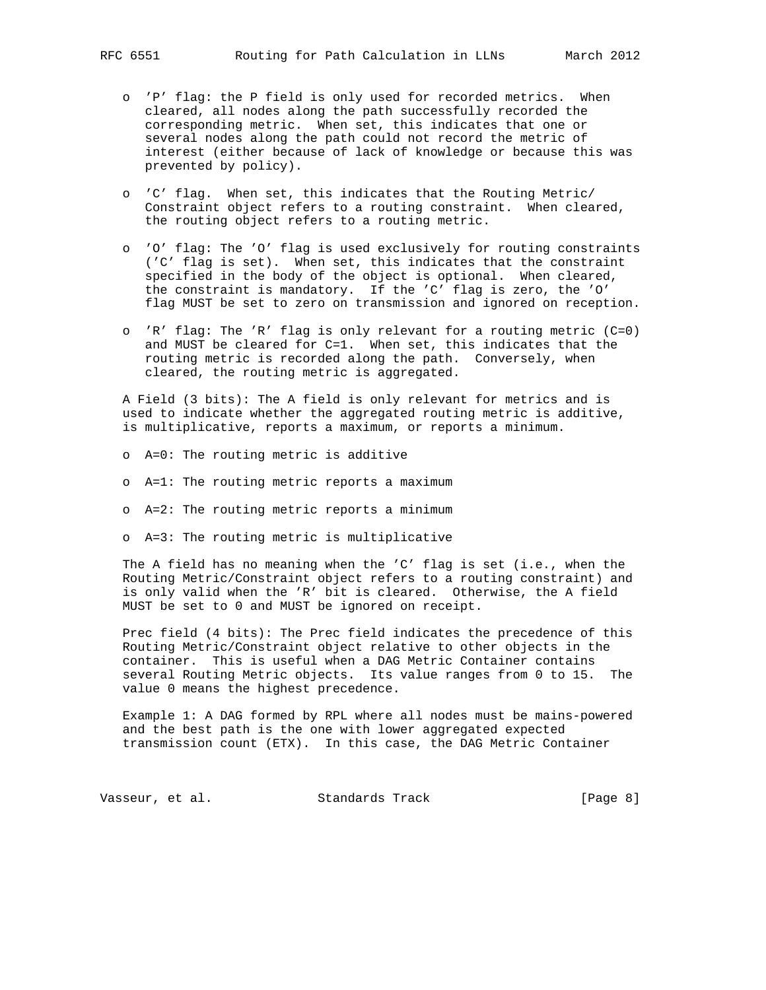- o 'P' flag: the P field is only used for recorded metrics. When cleared, all nodes along the path successfully recorded the corresponding metric. When set, this indicates that one or several nodes along the path could not record the metric of interest (either because of lack of knowledge or because this was prevented by policy).
- o 'C' flag. When set, this indicates that the Routing Metric/ Constraint object refers to a routing constraint. When cleared, the routing object refers to a routing metric.
- o 'O' flag: The 'O' flag is used exclusively for routing constraints ('C' flag is set). When set, this indicates that the constraint specified in the body of the object is optional. When cleared, the constraint is mandatory. If the 'C' flag is zero, the 'O' flag MUST be set to zero on transmission and ignored on reception.
- o 'R' flag: The 'R' flag is only relevant for a routing metric (C=0) and MUST be cleared for C=1. When set, this indicates that the routing metric is recorded along the path. Conversely, when cleared, the routing metric is aggregated.

 A Field (3 bits): The A field is only relevant for metrics and is used to indicate whether the aggregated routing metric is additive, is multiplicative, reports a maximum, or reports a minimum.

- o A=0: The routing metric is additive
- o A=1: The routing metric reports a maximum
- o A=2: The routing metric reports a minimum
- o A=3: The routing metric is multiplicative

 The A field has no meaning when the 'C' flag is set (i.e., when the Routing Metric/Constraint object refers to a routing constraint) and is only valid when the 'R' bit is cleared. Otherwise, the A field MUST be set to 0 and MUST be ignored on receipt.

 Prec field (4 bits): The Prec field indicates the precedence of this Routing Metric/Constraint object relative to other objects in the container. This is useful when a DAG Metric Container contains several Routing Metric objects. Its value ranges from 0 to 15. The value 0 means the highest precedence.

 Example 1: A DAG formed by RPL where all nodes must be mains-powered and the best path is the one with lower aggregated expected transmission count (ETX). In this case, the DAG Metric Container

Vasseur, et al. Standards Track [Page 8]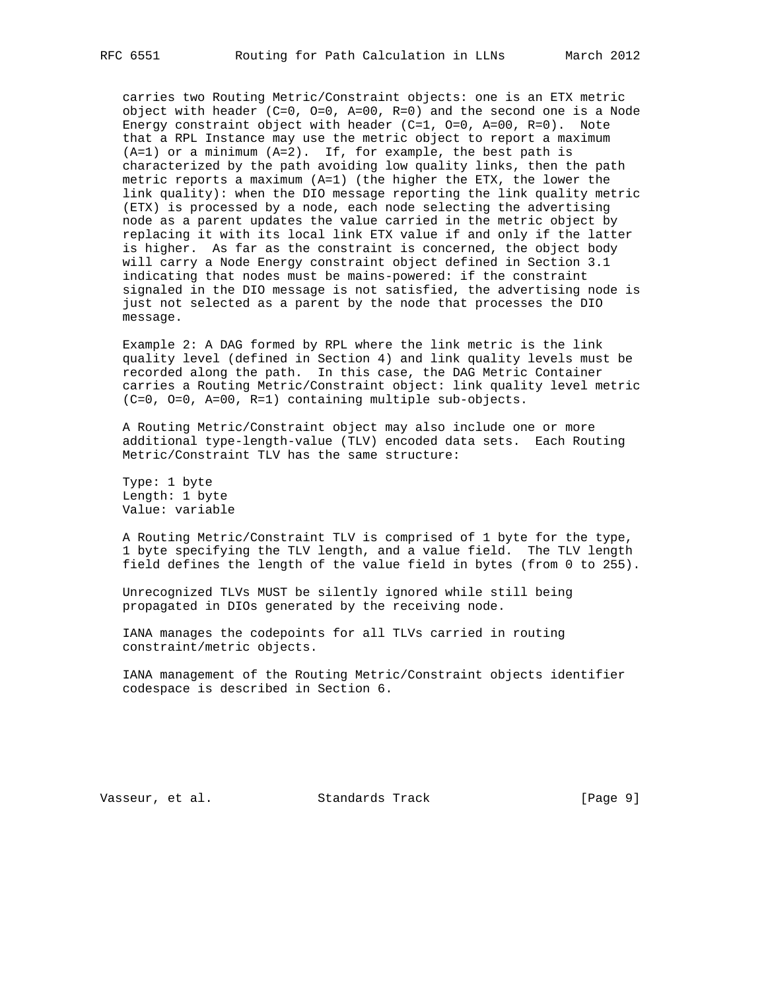carries two Routing Metric/Constraint objects: one is an ETX metric object with header (C=0, O=0, A=00, R=0) and the second one is a Node Energy constraint object with header  $(C=1, 0=0, A=00, R=0)$ . Note that a RPL Instance may use the metric object to report a maximum (A=1) or a minimum (A=2). If, for example, the best path is characterized by the path avoiding low quality links, then the path metric reports a maximum (A=1) (the higher the ETX, the lower the link quality): when the DIO message reporting the link quality metric (ETX) is processed by a node, each node selecting the advertising node as a parent updates the value carried in the metric object by replacing it with its local link ETX value if and only if the latter is higher. As far as the constraint is concerned, the object body will carry a Node Energy constraint object defined in Section 3.1 indicating that nodes must be mains-powered: if the constraint signaled in the DIO message is not satisfied, the advertising node is just not selected as a parent by the node that processes the DIO message.

 Example 2: A DAG formed by RPL where the link metric is the link quality level (defined in Section 4) and link quality levels must be recorded along the path. In this case, the DAG Metric Container carries a Routing Metric/Constraint object: link quality level metric (C=0, O=0, A=00, R=1) containing multiple sub-objects.

 A Routing Metric/Constraint object may also include one or more additional type-length-value (TLV) encoded data sets. Each Routing Metric/Constraint TLV has the same structure:

 Type: 1 byte Length: 1 byte Value: variable

 A Routing Metric/Constraint TLV is comprised of 1 byte for the type, 1 byte specifying the TLV length, and a value field. The TLV length field defines the length of the value field in bytes (from 0 to 255).

 Unrecognized TLVs MUST be silently ignored while still being propagated in DIOs generated by the receiving node.

 IANA manages the codepoints for all TLVs carried in routing constraint/metric objects.

 IANA management of the Routing Metric/Constraint objects identifier codespace is described in Section 6.

Vasseur, et al. Standards Track [Page 9]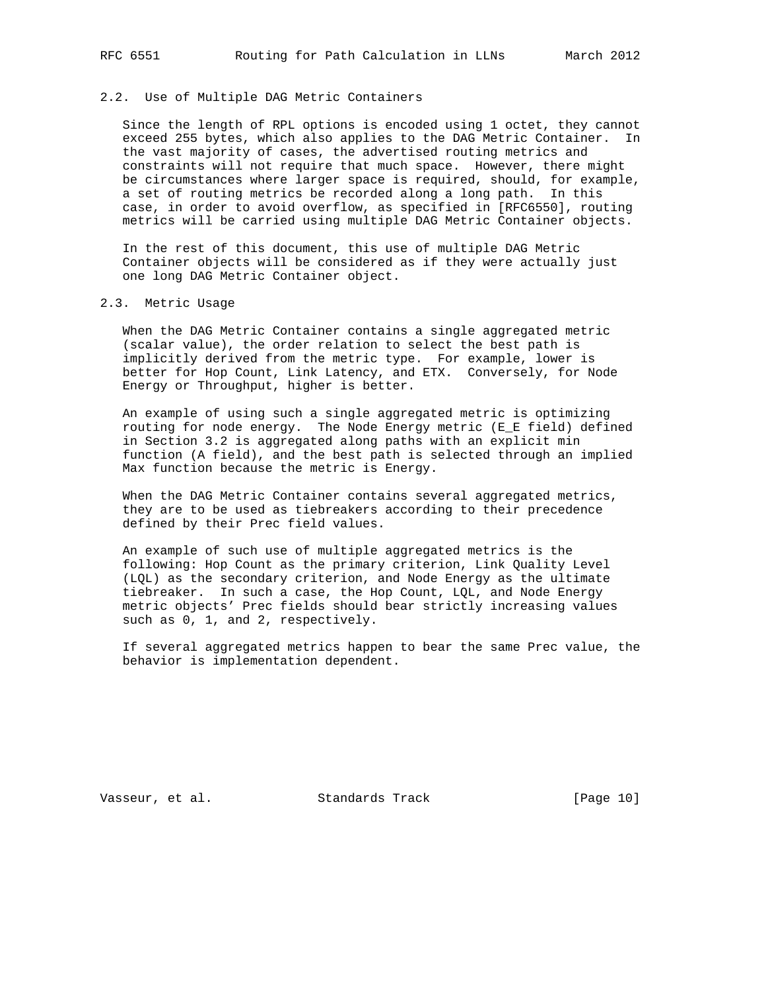### 2.2. Use of Multiple DAG Metric Containers

 Since the length of RPL options is encoded using 1 octet, they cannot exceed 255 bytes, which also applies to the DAG Metric Container. In the vast majority of cases, the advertised routing metrics and constraints will not require that much space. However, there might be circumstances where larger space is required, should, for example, a set of routing metrics be recorded along a long path. In this case, in order to avoid overflow, as specified in [RFC6550], routing metrics will be carried using multiple DAG Metric Container objects.

 In the rest of this document, this use of multiple DAG Metric Container objects will be considered as if they were actually just one long DAG Metric Container object.

### 2.3. Metric Usage

 When the DAG Metric Container contains a single aggregated metric (scalar value), the order relation to select the best path is implicitly derived from the metric type. For example, lower is better for Hop Count, Link Latency, and ETX. Conversely, for Node Energy or Throughput, higher is better.

 An example of using such a single aggregated metric is optimizing routing for node energy. The Node Energy metric (E\_E field) defined in Section 3.2 is aggregated along paths with an explicit min function (A field), and the best path is selected through an implied Max function because the metric is Energy.

 When the DAG Metric Container contains several aggregated metrics, they are to be used as tiebreakers according to their precedence defined by their Prec field values.

 An example of such use of multiple aggregated metrics is the following: Hop Count as the primary criterion, Link Quality Level (LQL) as the secondary criterion, and Node Energy as the ultimate tiebreaker. In such a case, the Hop Count, LQL, and Node Energy metric objects' Prec fields should bear strictly increasing values such as 0, 1, and 2, respectively.

 If several aggregated metrics happen to bear the same Prec value, the behavior is implementation dependent.

Vasseur, et al. Standards Track [Page 10]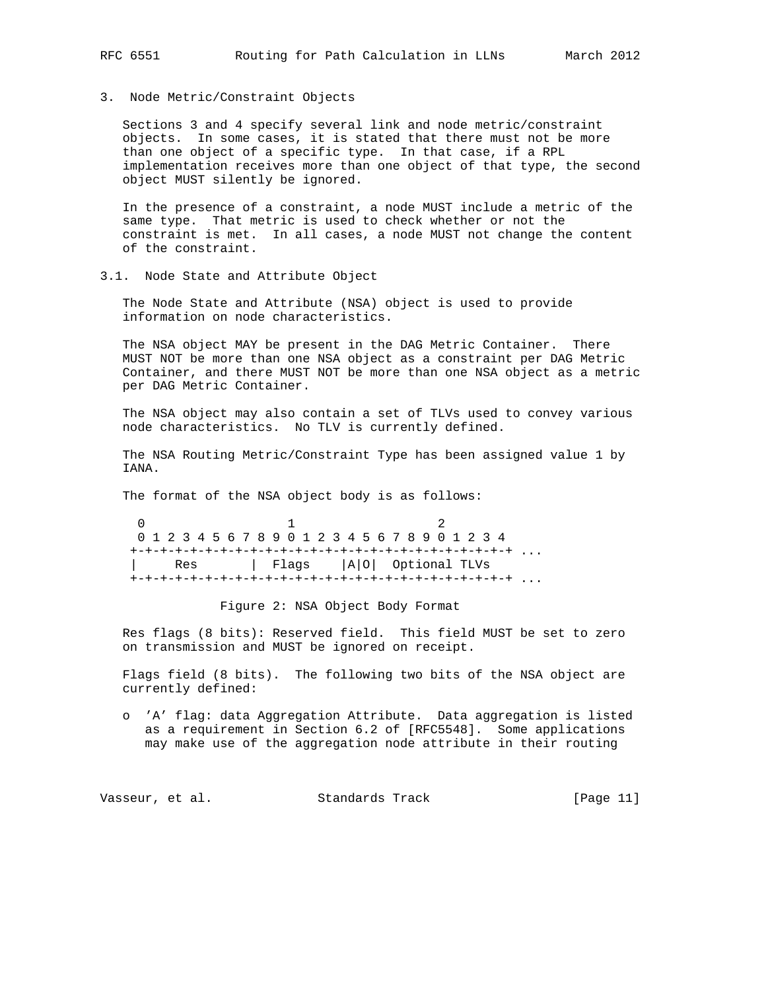3. Node Metric/Constraint Objects

 Sections 3 and 4 specify several link and node metric/constraint objects. In some cases, it is stated that there must not be more than one object of a specific type. In that case, if a RPL implementation receives more than one object of that type, the second object MUST silently be ignored.

 In the presence of a constraint, a node MUST include a metric of the same type. That metric is used to check whether or not the constraint is met. In all cases, a node MUST not change the content of the constraint.

3.1. Node State and Attribute Object

 The Node State and Attribute (NSA) object is used to provide information on node characteristics.

 The NSA object MAY be present in the DAG Metric Container. There MUST NOT be more than one NSA object as a constraint per DAG Metric Container, and there MUST NOT be more than one NSA object as a metric per DAG Metric Container.

 The NSA object may also contain a set of TLVs used to convey various node characteristics. No TLV is currently defined.

 The NSA Routing Metric/Constraint Type has been assigned value 1 by TANA.

The format of the NSA object body is as follows:

 $0$  1 2 0 1 2 3 4 5 6 7 8 9 0 1 2 3 4 5 6 7 8 9 0 1 2 3 4 +-+-+-+-+-+-+-+-+-+-+-+-+-+-+-+-+-+-+-+-+-+-+-+-+-+ ... | Res | Flags |A|O| Optional TLVs +-+-+-+-+-+-+-+-+-+-+-+-+-+-+-+-+-+-+-+-+-+-+-+-+-+ ...

Figure 2: NSA Object Body Format

 Res flags (8 bits): Reserved field. This field MUST be set to zero on transmission and MUST be ignored on receipt.

 Flags field (8 bits). The following two bits of the NSA object are currently defined:

 o 'A' flag: data Aggregation Attribute. Data aggregation is listed as a requirement in Section 6.2 of [RFC5548]. Some applications may make use of the aggregation node attribute in their routing

Vasseur, et al. Standards Track [Page 11]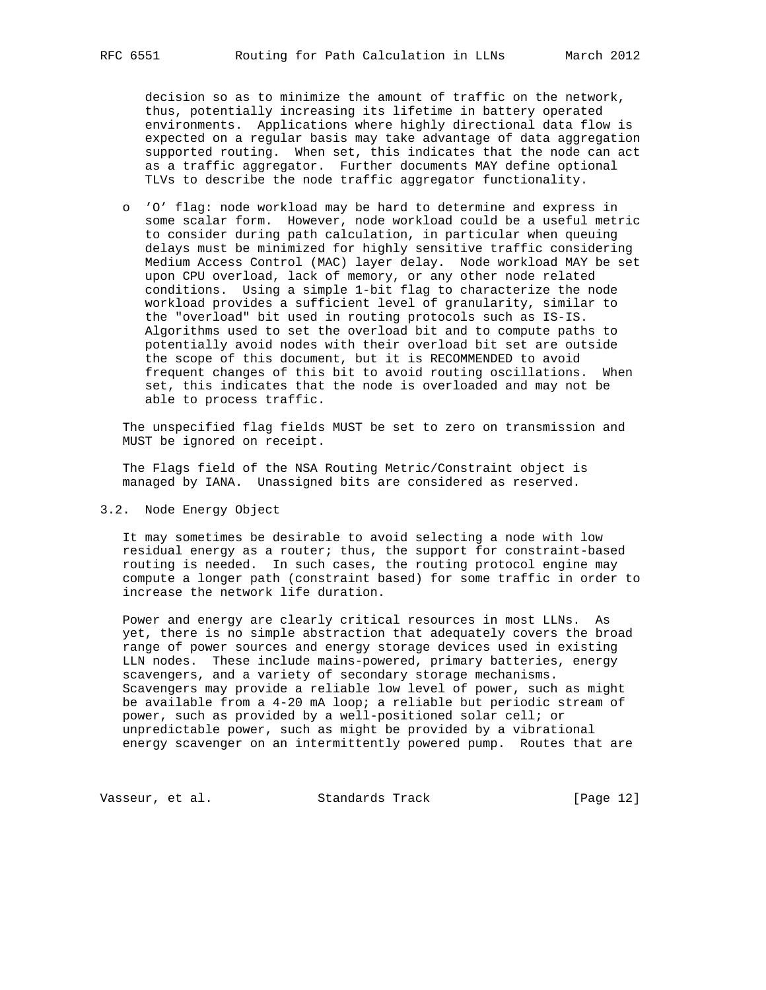decision so as to minimize the amount of traffic on the network, thus, potentially increasing its lifetime in battery operated environments. Applications where highly directional data flow is expected on a regular basis may take advantage of data aggregation supported routing. When set, this indicates that the node can act as a traffic aggregator. Further documents MAY define optional TLVs to describe the node traffic aggregator functionality.

 o 'O' flag: node workload may be hard to determine and express in some scalar form. However, node workload could be a useful metric to consider during path calculation, in particular when queuing delays must be minimized for highly sensitive traffic considering Medium Access Control (MAC) layer delay. Node workload MAY be set upon CPU overload, lack of memory, or any other node related conditions. Using a simple 1-bit flag to characterize the node workload provides a sufficient level of granularity, similar to the "overload" bit used in routing protocols such as IS-IS. Algorithms used to set the overload bit and to compute paths to potentially avoid nodes with their overload bit set are outside the scope of this document, but it is RECOMMENDED to avoid frequent changes of this bit to avoid routing oscillations. When set, this indicates that the node is overloaded and may not be able to process traffic.

 The unspecified flag fields MUST be set to zero on transmission and MUST be ignored on receipt.

 The Flags field of the NSA Routing Metric/Constraint object is managed by IANA. Unassigned bits are considered as reserved.

3.2. Node Energy Object

 It may sometimes be desirable to avoid selecting a node with low residual energy as a router; thus, the support for constraint-based routing is needed. In such cases, the routing protocol engine may compute a longer path (constraint based) for some traffic in order to increase the network life duration.

 Power and energy are clearly critical resources in most LLNs. As yet, there is no simple abstraction that adequately covers the broad range of power sources and energy storage devices used in existing LLN nodes. These include mains-powered, primary batteries, energy scavengers, and a variety of secondary storage mechanisms. Scavengers may provide a reliable low level of power, such as might be available from a 4-20 mA loop; a reliable but periodic stream of power, such as provided by a well-positioned solar cell; or unpredictable power, such as might be provided by a vibrational energy scavenger on an intermittently powered pump. Routes that are

Vasseur, et al. Standards Track [Page 12]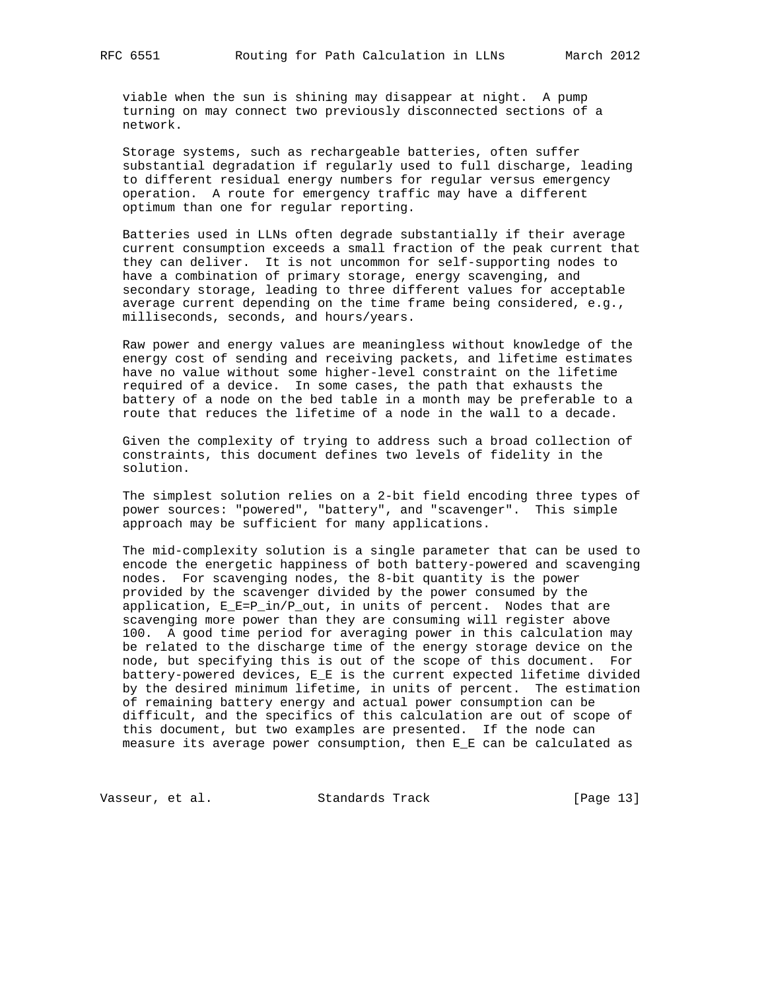viable when the sun is shining may disappear at night. A pump turning on may connect two previously disconnected sections of a network.

 Storage systems, such as rechargeable batteries, often suffer substantial degradation if regularly used to full discharge, leading to different residual energy numbers for regular versus emergency operation. A route for emergency traffic may have a different optimum than one for regular reporting.

 Batteries used in LLNs often degrade substantially if their average current consumption exceeds a small fraction of the peak current that they can deliver. It is not uncommon for self-supporting nodes to have a combination of primary storage, energy scavenging, and secondary storage, leading to three different values for acceptable average current depending on the time frame being considered, e.g., milliseconds, seconds, and hours/years.

 Raw power and energy values are meaningless without knowledge of the energy cost of sending and receiving packets, and lifetime estimates have no value without some higher-level constraint on the lifetime required of a device. In some cases, the path that exhausts the battery of a node on the bed table in a month may be preferable to a route that reduces the lifetime of a node in the wall to a decade.

 Given the complexity of trying to address such a broad collection of constraints, this document defines two levels of fidelity in the solution.

 The simplest solution relies on a 2-bit field encoding three types of power sources: "powered", "battery", and "scavenger". This simple approach may be sufficient for many applications.

 The mid-complexity solution is a single parameter that can be used to encode the energetic happiness of both battery-powered and scavenging nodes. For scavenging nodes, the 8-bit quantity is the power provided by the scavenger divided by the power consumed by the application, E\_E=P\_in/P\_out, in units of percent. Nodes that are scavenging more power than they are consuming will register above 100. A good time period for averaging power in this calculation may be related to the discharge time of the energy storage device on the node, but specifying this is out of the scope of this document. For battery-powered devices, E\_E is the current expected lifetime divided by the desired minimum lifetime, in units of percent. The estimation of remaining battery energy and actual power consumption can be difficult, and the specifics of this calculation are out of scope of this document, but two examples are presented. If the node can measure its average power consumption, then E\_E can be calculated as

Vasseur, et al. Standards Track [Page 13]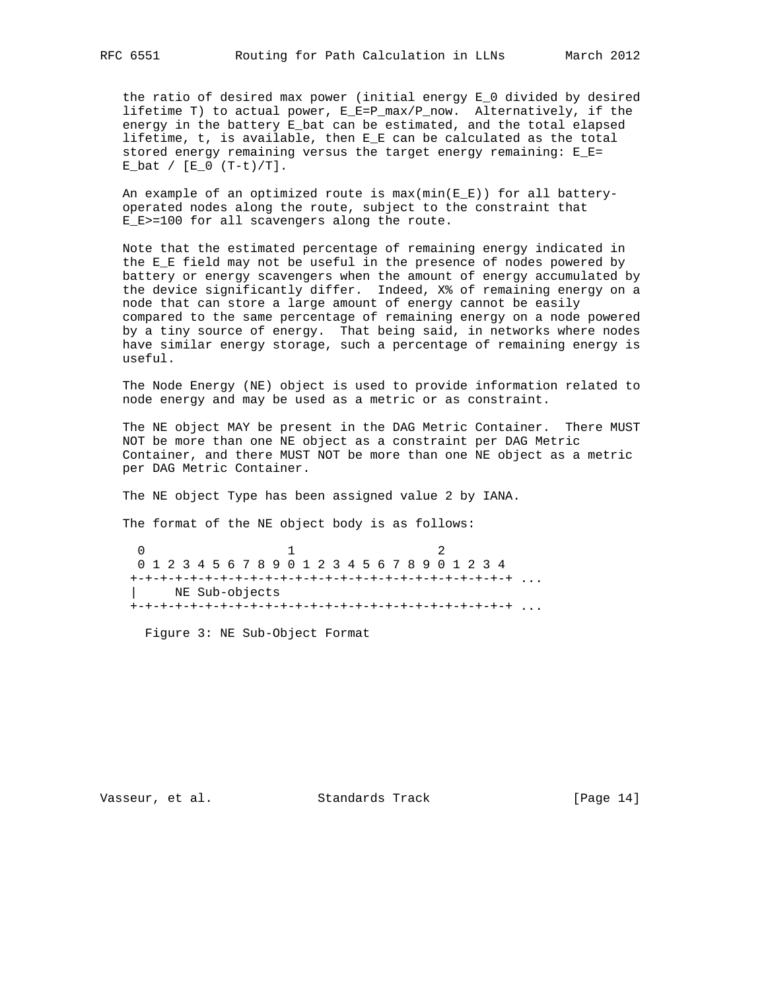the ratio of desired max power (initial energy E\_0 divided by desired lifetime T) to actual power, E\_E=P\_max/P\_now. Alternatively, if the energy in the battery  $E$  bat can be estimated, and the total elapsed lifetime, t, is available, then E\_E can be calculated as the total stored energy remaining versus the target energy remaining: E\_E=  $E_b$ at /  $[E_0 (T-t)/T]$ .

An example of an optimized route is  $max(min(E_E))$  for all battery operated nodes along the route, subject to the constraint that E\_E>=100 for all scavengers along the route.

 Note that the estimated percentage of remaining energy indicated in the E\_E field may not be useful in the presence of nodes powered by battery or energy scavengers when the amount of energy accumulated by the device significantly differ. Indeed, X% of remaining energy on a node that can store a large amount of energy cannot be easily compared to the same percentage of remaining energy on a node powered by a tiny source of energy. That being said, in networks where nodes have similar energy storage, such a percentage of remaining energy is useful.

 The Node Energy (NE) object is used to provide information related to node energy and may be used as a metric or as constraint.

 The NE object MAY be present in the DAG Metric Container. There MUST NOT be more than one NE object as a constraint per DAG Metric Container, and there MUST NOT be more than one NE object as a metric per DAG Metric Container.

The NE object Type has been assigned value 2 by IANA.

The format of the NE object body is as follows:

 $0$  1 2 0 1 2 3 4 5 6 7 8 9 0 1 2 3 4 5 6 7 8 9 0 1 2 3 4 +-+-+-+-+-+-+-+-+-+-+-+-+-+-+-+-+-+-+-+-+-+-+-+-+-+ ... | NE Sub-objects +-+-+-+-+-+-+-+-+-+-+-+-+-+-+-+-+-+-+-+-+-+-+-+-+-+ ...

Figure 3: NE Sub-Object Format

Vasseur, et al. Standards Track [Page 14]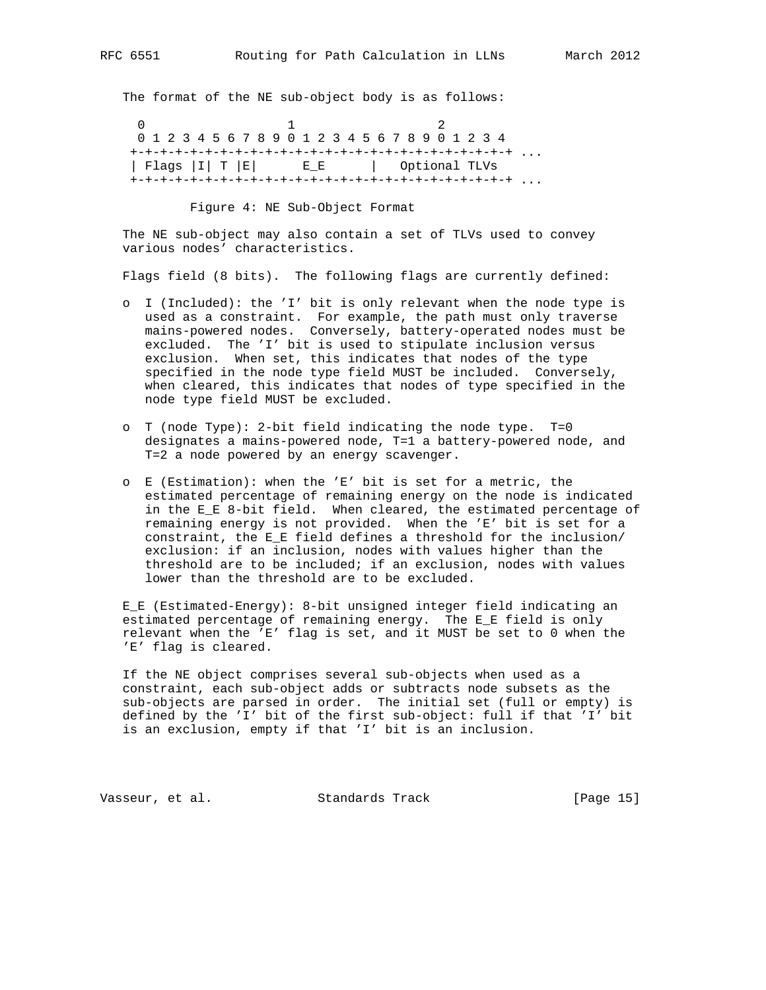The format of the NE sub-object body is as follows:

 $0$  1 2 0 1 2 3 4 5 6 7 8 9 0 1 2 3 4 5 6 7 8 9 0 1 2 3 4 +-+-+-+-+-+-+-+-+-+-+-+-+-+-+-+-+-+-+-+-+-+-+-+-+-+ ... | Flags |I| T |E| E\_E | Optional TLVs +-+-+-+-+-+-+-+-+-+-+-+-+-+-+-+-+-+-+-+-+-+-+-+-+-+ ...

Figure 4: NE Sub-Object Format

 The NE sub-object may also contain a set of TLVs used to convey various nodes' characteristics.

Flags field (8 bits). The following flags are currently defined:

- o I (Included): the 'I' bit is only relevant when the node type is used as a constraint. For example, the path must only traverse mains-powered nodes. Conversely, battery-operated nodes must be excluded. The 'I' bit is used to stipulate inclusion versus exclusion. When set, this indicates that nodes of the type specified in the node type field MUST be included. Conversely, when cleared, this indicates that nodes of type specified in the node type field MUST be excluded.
- o T (node Type): 2-bit field indicating the node type. T=0 designates a mains-powered node, T=1 a battery-powered node, and T=2 a node powered by an energy scavenger.
- o E (Estimation): when the 'E' bit is set for a metric, the estimated percentage of remaining energy on the node is indicated in the E\_E 8-bit field. When cleared, the estimated percentage of remaining energy is not provided. When the 'E' bit is set for a constraint, the E\_E field defines a threshold for the inclusion/ exclusion: if an inclusion, nodes with values higher than the threshold are to be included; if an exclusion, nodes with values lower than the threshold are to be excluded.

 E\_E (Estimated-Energy): 8-bit unsigned integer field indicating an estimated percentage of remaining energy. The E\_E field is only relevant when the 'E' flag is set, and it MUST be set to 0 when the 'E' flag is cleared.

 If the NE object comprises several sub-objects when used as a constraint, each sub-object adds or subtracts node subsets as the sub-objects are parsed in order. The initial set (full or empty) is defined by the 'I' bit of the first sub-object: full if that 'I' bit is an exclusion, empty if that 'I' bit is an inclusion.

Vasseur, et al. Standards Track [Page 15]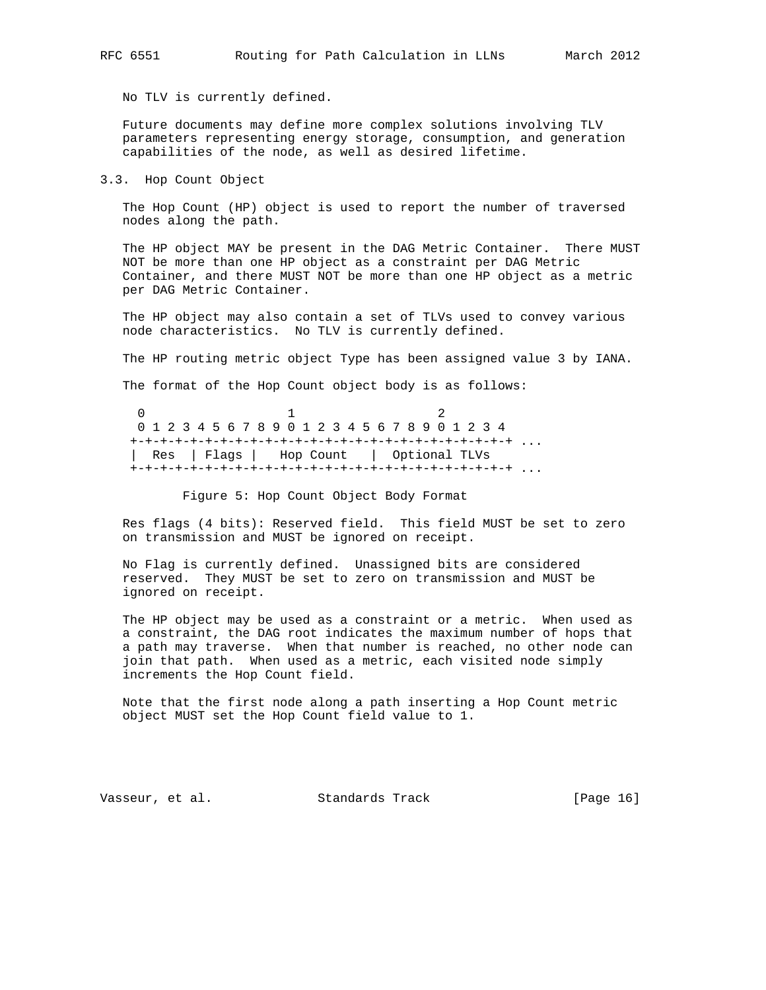No TLV is currently defined.

 Future documents may define more complex solutions involving TLV parameters representing energy storage, consumption, and generation capabilities of the node, as well as desired lifetime.

3.3. Hop Count Object

 The Hop Count (HP) object is used to report the number of traversed nodes along the path.

 The HP object MAY be present in the DAG Metric Container. There MUST NOT be more than one HP object as a constraint per DAG Metric Container, and there MUST NOT be more than one HP object as a metric per DAG Metric Container.

 The HP object may also contain a set of TLVs used to convey various node characteristics. No TLV is currently defined.

The HP routing metric object Type has been assigned value 3 by IANA.

The format of the Hop Count object body is as follows:

 $0$  1 2 0 1 2 3 4 5 6 7 8 9 0 1 2 3 4 5 6 7 8 9 0 1 2 3 4 +-+-+-+-+-+-+-+-+-+-+-+-+-+-+-+-+-+-+-+-+-+-+-+-+-+ ... | Res | Flags | Hop Count | Optional TLVs +-+-+-+-+-+-+-+-+-+-+-+-+-+-+-+-+-+-+-+-+-+-+-+-+-+ ...

Figure 5: Hop Count Object Body Format

 Res flags (4 bits): Reserved field. This field MUST be set to zero on transmission and MUST be ignored on receipt.

 No Flag is currently defined. Unassigned bits are considered reserved. They MUST be set to zero on transmission and MUST be ignored on receipt.

 The HP object may be used as a constraint or a metric. When used as a constraint, the DAG root indicates the maximum number of hops that a path may traverse. When that number is reached, no other node can join that path. When used as a metric, each visited node simply increments the Hop Count field.

 Note that the first node along a path inserting a Hop Count metric object MUST set the Hop Count field value to 1.

Vasseur, et al. Standards Track [Page 16]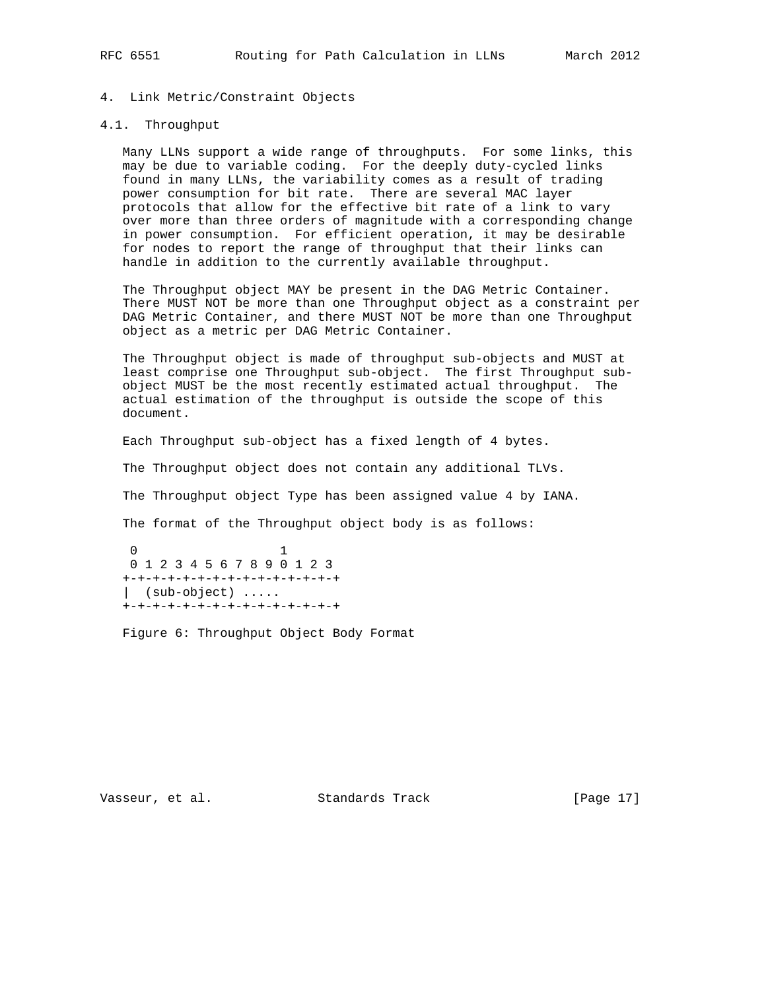## 4. Link Metric/Constraint Objects

### 4.1. Throughput

 Many LLNs support a wide range of throughputs. For some links, this may be due to variable coding. For the deeply duty-cycled links found in many LLNs, the variability comes as a result of trading power consumption for bit rate. There are several MAC layer protocols that allow for the effective bit rate of a link to vary over more than three orders of magnitude with a corresponding change in power consumption. For efficient operation, it may be desirable for nodes to report the range of throughput that their links can handle in addition to the currently available throughput.

 The Throughput object MAY be present in the DAG Metric Container. There MUST NOT be more than one Throughput object as a constraint per DAG Metric Container, and there MUST NOT be more than one Throughput object as a metric per DAG Metric Container.

 The Throughput object is made of throughput sub-objects and MUST at least comprise one Throughput sub-object. The first Throughput sub object MUST be the most recently estimated actual throughput. The actual estimation of the throughput is outside the scope of this document.

Each Throughput sub-object has a fixed length of 4 bytes.

The Throughput object does not contain any additional TLVs.

The Throughput object Type has been assigned value 4 by IANA.

The format of the Throughput object body is as follows:

 0 1 0 1 2 3 4 5 6 7 8 9 0 1 2 3 +-+-+-+-+-+-+-+-+-+-+-+-+-+-+ | (sub-object) ..... +-+-+-+-+-+-+-+-+-+-+-+-+-+-+

Figure 6: Throughput Object Body Format

Vasseur, et al. Standards Track [Page 17]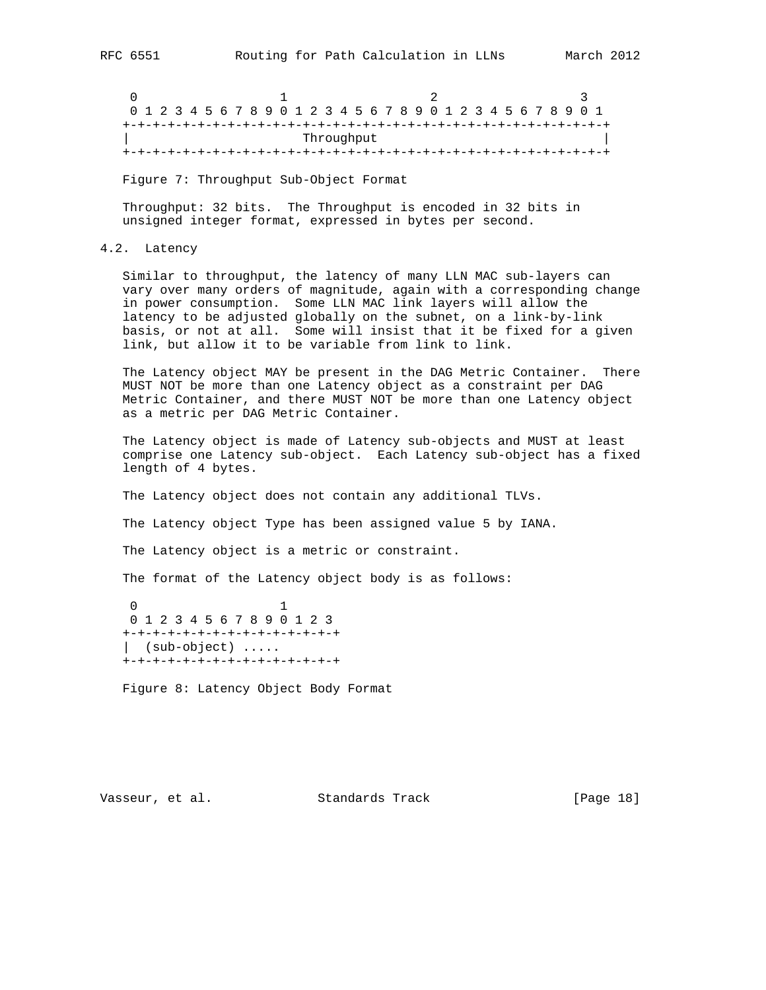0  $1$  2 3 0 1 2 3 4 5 6 7 8 9 0 1 2 3 4 5 6 7 8 9 0 1 2 3 4 5 6 7 8 9 0 1 +-+-+-+-+-+-+-+-+-+-+-+-+-+-+-+-+-+-+-+-+-+-+-+-+-+-+-+-+-+-+-+-+ Throughput +-+-+-+-+-+-+-+-+-+-+-+-+-+-+-+-+-+-+-+-+-+-+-+-+-+-+-+-+-+-+-+-+

Figure 7: Throughput Sub-Object Format

 Throughput: 32 bits. The Throughput is encoded in 32 bits in unsigned integer format, expressed in bytes per second.

4.2. Latency

 Similar to throughput, the latency of many LLN MAC sub-layers can vary over many orders of magnitude, again with a corresponding change in power consumption. Some LLN MAC link layers will allow the latency to be adjusted globally on the subnet, on a link-by-link basis, or not at all. Some will insist that it be fixed for a given link, but allow it to be variable from link to link.

 The Latency object MAY be present in the DAG Metric Container. There MUST NOT be more than one Latency object as a constraint per DAG Metric Container, and there MUST NOT be more than one Latency object as a metric per DAG Metric Container.

 The Latency object is made of Latency sub-objects and MUST at least comprise one Latency sub-object. Each Latency sub-object has a fixed length of 4 bytes.

The Latency object does not contain any additional TLVs.

The Latency object Type has been assigned value 5 by IANA.

The Latency object is a metric or constraint.

The format of the Latency object body is as follows:

 0 1 0 1 2 3 4 5 6 7 8 9 0 1 2 3 +-+-+-+-+-+-+-+-+-+-+-+-+-+-+ | (sub-object) ..... +-+-+-+-+-+-+-+-+-+-+-+-+-+-+

Figure 8: Latency Object Body Format

Vasseur, et al. Standards Track [Page 18]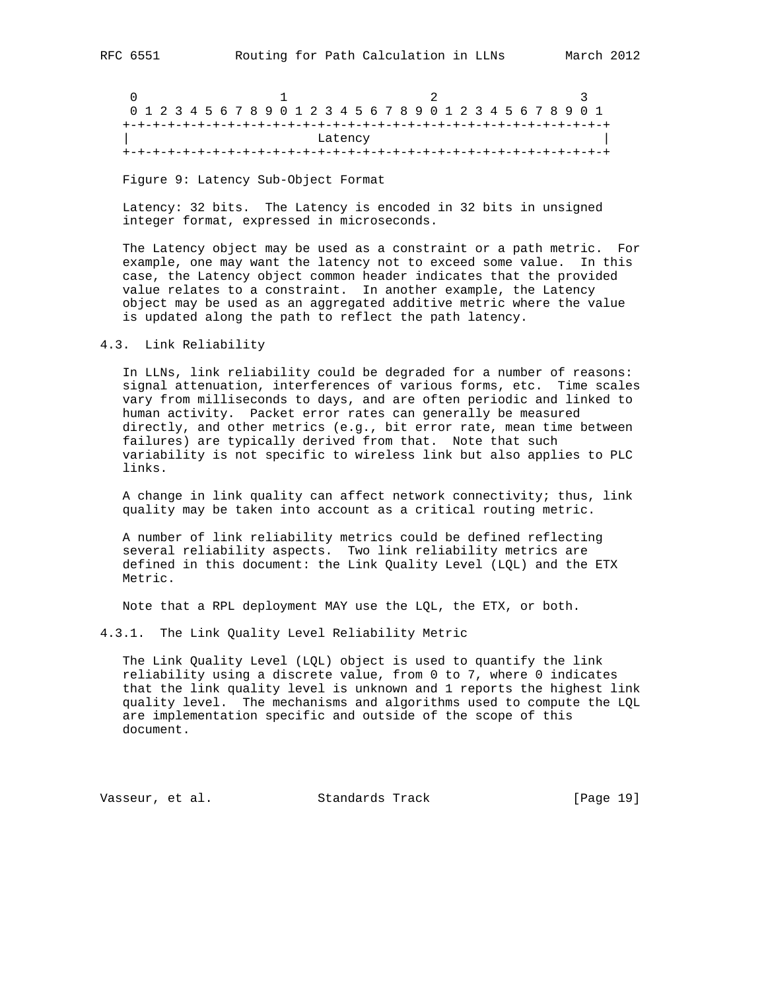| 0 1 2 3 4 5 6 7 8 9 0 1 2 3 4 5 6 7 8 9 0 1 2 3 4 5 6 7 8 9 0 1 |  |  |  |  |  |  |  |  |  |  |  |  |  |  |  |  |  |  |  |  |  |
|-----------------------------------------------------------------|--|--|--|--|--|--|--|--|--|--|--|--|--|--|--|--|--|--|--|--|--|
|                                                                 |  |  |  |  |  |  |  |  |  |  |  |  |  |  |  |  |  |  |  |  |  |
| Latency                                                         |  |  |  |  |  |  |  |  |  |  |  |  |  |  |  |  |  |  |  |  |  |
|                                                                 |  |  |  |  |  |  |  |  |  |  |  |  |  |  |  |  |  |  |  |  |  |

Figure 9: Latency Sub-Object Format

 Latency: 32 bits. The Latency is encoded in 32 bits in unsigned integer format, expressed in microseconds.

 The Latency object may be used as a constraint or a path metric. For example, one may want the latency not to exceed some value. In this case, the Latency object common header indicates that the provided value relates to a constraint. In another example, the Latency object may be used as an aggregated additive metric where the value is updated along the path to reflect the path latency.

#### 4.3. Link Reliability

 In LLNs, link reliability could be degraded for a number of reasons: signal attenuation, interferences of various forms, etc. Time scales vary from milliseconds to days, and are often periodic and linked to human activity. Packet error rates can generally be measured directly, and other metrics (e.g., bit error rate, mean time between failures) are typically derived from that. Note that such variability is not specific to wireless link but also applies to PLC links.

 A change in link quality can affect network connectivity; thus, link quality may be taken into account as a critical routing metric.

 A number of link reliability metrics could be defined reflecting several reliability aspects. Two link reliability metrics are defined in this document: the Link Quality Level (LQL) and the ETX Metric.

Note that a RPL deployment MAY use the LQL, the ETX, or both.

4.3.1. The Link Quality Level Reliability Metric

 The Link Quality Level (LQL) object is used to quantify the link reliability using a discrete value, from 0 to 7, where 0 indicates that the link quality level is unknown and 1 reports the highest link quality level. The mechanisms and algorithms used to compute the LQL are implementation specific and outside of the scope of this document.

Vasseur, et al. Standards Track [Page 19]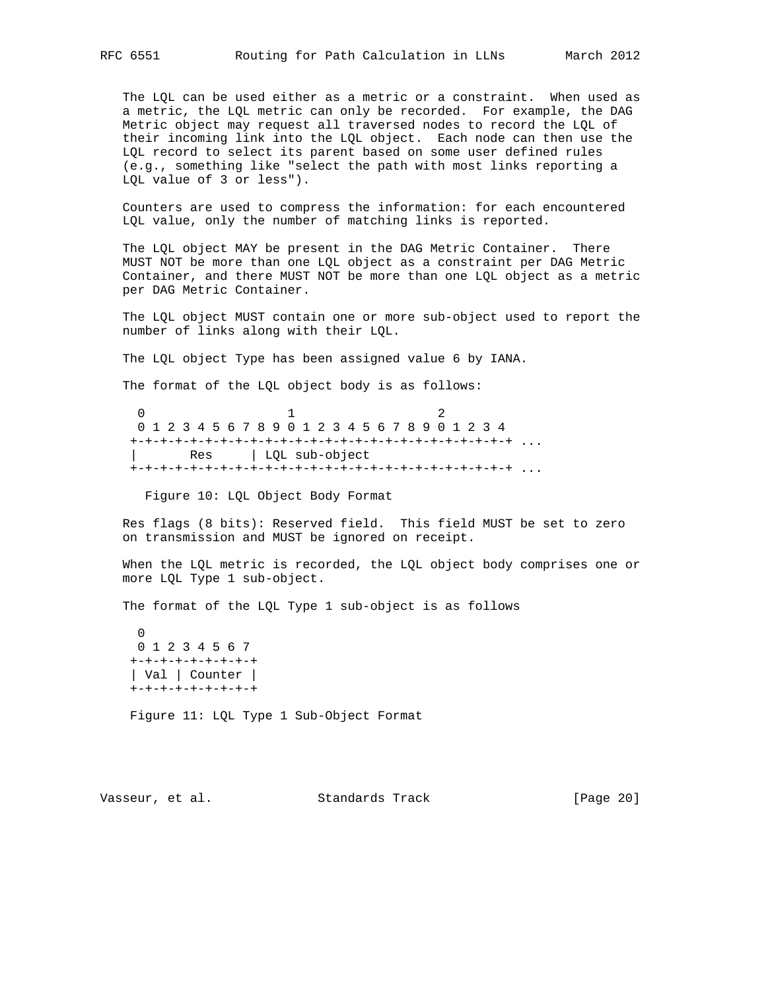The LQL can be used either as a metric or a constraint. When used as a metric, the LQL metric can only be recorded. For example, the DAG Metric object may request all traversed nodes to record the LQL of their incoming link into the LQL object. Each node can then use the LQL record to select its parent based on some user defined rules (e.g., something like "select the path with most links reporting a LQL value of 3 or less").

 Counters are used to compress the information: for each encountered LQL value, only the number of matching links is reported.

 The LQL object MAY be present in the DAG Metric Container. There MUST NOT be more than one LQL object as a constraint per DAG Metric Container, and there MUST NOT be more than one LQL object as a metric per DAG Metric Container.

 The LQL object MUST contain one or more sub-object used to report the number of links along with their LQL.

The LQL object Type has been assigned value 6 by IANA.

The format of the LQL object body is as follows:

 $0$  1 2 0 1 2 3 4 5 6 7 8 9 0 1 2 3 4 5 6 7 8 9 0 1 2 3 4 +-+-+-+-+-+-+-+-+-+-+-+-+-+-+-+-+-+-+-+-+-+-+-+-+-+ ... | Res | LQL sub-object +-+-+-+-+-+-+-+-+-+-+-+-+-+-+-+-+-+-+-+-+-+-+-+-+-+ ...

Figure 10: LQL Object Body Format

 Res flags (8 bits): Reserved field. This field MUST be set to zero on transmission and MUST be ignored on receipt.

 When the LQL metric is recorded, the LQL object body comprises one or more LQL Type 1 sub-object.

The format of the LQL Type 1 sub-object is as follows

 $\Omega$  0 1 2 3 4 5 6 7 +-+-+-+-+-+-+-+-+ | Val | Counter | +-+-+-+-+-+-+-+-+

Figure 11: LQL Type 1 Sub-Object Format

Vasseur, et al. Standards Track [Page 20]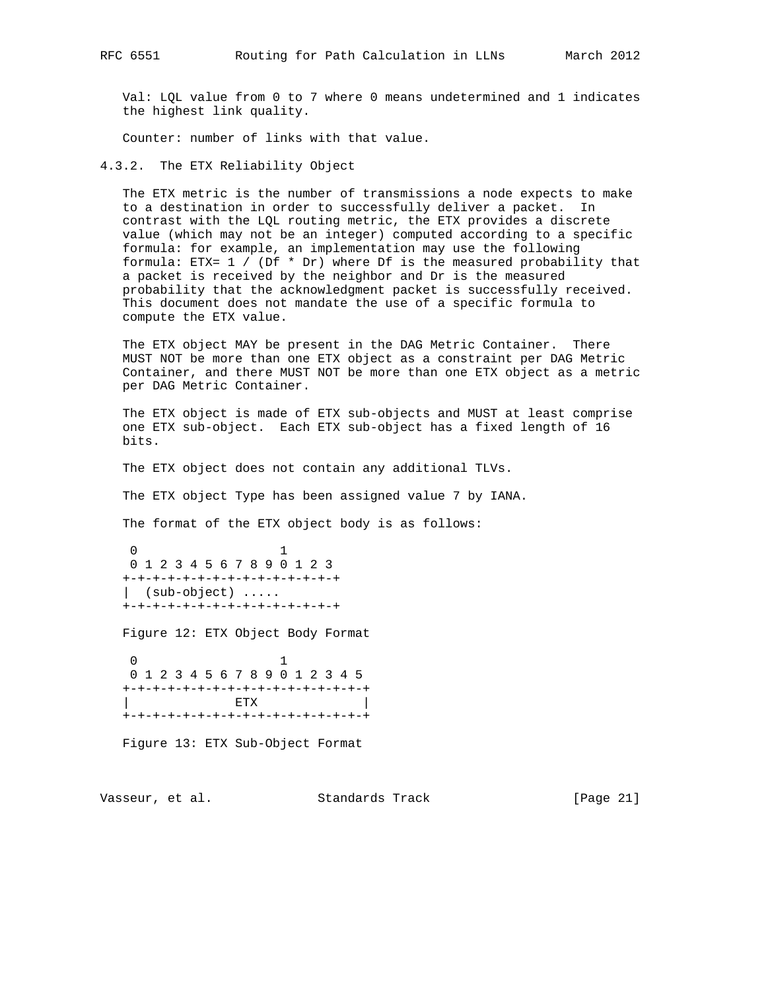Val: LQL value from 0 to 7 where 0 means undetermined and 1 indicates the highest link quality.

Counter: number of links with that value.

4.3.2. The ETX Reliability Object

 The ETX metric is the number of transmissions a node expects to make to a destination in order to successfully deliver a packet. In contrast with the LQL routing metric, the ETX provides a discrete value (which may not be an integer) computed according to a specific formula: for example, an implementation may use the following formula: ETX= 1 / (Df \* Dr) where Df is the measured probability that a packet is received by the neighbor and Dr is the measured probability that the acknowledgment packet is successfully received. This document does not mandate the use of a specific formula to compute the ETX value.

 The ETX object MAY be present in the DAG Metric Container. There MUST NOT be more than one ETX object as a constraint per DAG Metric Container, and there MUST NOT be more than one ETX object as a metric per DAG Metric Container.

 The ETX object is made of ETX sub-objects and MUST at least comprise one ETX sub-object. Each ETX sub-object has a fixed length of 16 bits.

The ETX object does not contain any additional TLVs.

The ETX object Type has been assigned value 7 by IANA.

The format of the ETX object body is as follows:

 0 1 0 1 2 3 4 5 6 7 8 9 0 1 2 3 +-+-+-+-+-+-+-+-+-+-+-+-+-+-+ | (sub-object) ..... +-+-+-+-+-+-+-+-+-+-+-+-+-+-+

Figure 12: ETX Object Body Format

 0 1 0 1 2 3 4 5 6 7 8 9 0 1 2 3 4 5 +-+-+-+-+-+-+-+-+-+-+-+-+-+-+-+-+  $ETX$ +-+-+-+-+-+-+-+-+-+-+-+-+-+-+-+-+

Figure 13: ETX Sub-Object Format

Vasseur, et al. Standards Track [Page 21]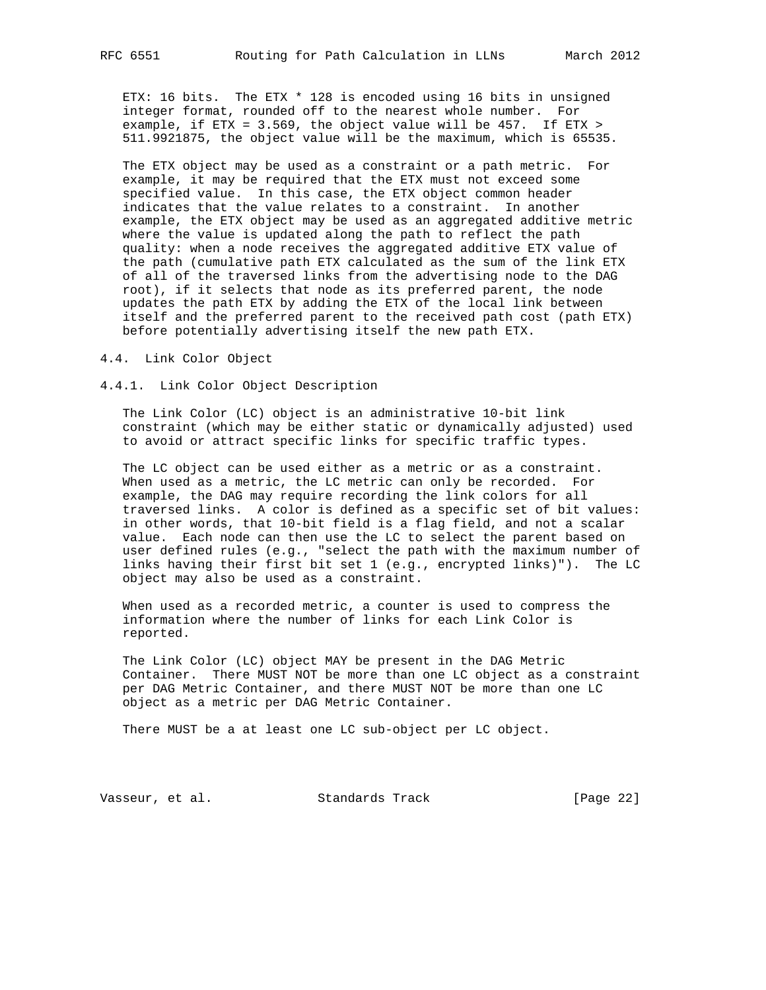ETX: 16 bits. The ETX \* 128 is encoded using 16 bits in unsigned integer format, rounded off to the nearest whole number. For example, if ETX = 3.569, the object value will be 457. If ETX > 511.9921875, the object value will be the maximum, which is 65535.

 The ETX object may be used as a constraint or a path metric. For example, it may be required that the ETX must not exceed some specified value. In this case, the ETX object common header indicates that the value relates to a constraint. In another example, the ETX object may be used as an aggregated additive metric where the value is updated along the path to reflect the path quality: when a node receives the aggregated additive ETX value of the path (cumulative path ETX calculated as the sum of the link ETX of all of the traversed links from the advertising node to the DAG root), if it selects that node as its preferred parent, the node updates the path ETX by adding the ETX of the local link between itself and the preferred parent to the received path cost (path ETX) before potentially advertising itself the new path ETX.

4.4. Link Color Object

4.4.1. Link Color Object Description

 The Link Color (LC) object is an administrative 10-bit link constraint (which may be either static or dynamically adjusted) used to avoid or attract specific links for specific traffic types.

 The LC object can be used either as a metric or as a constraint. When used as a metric, the LC metric can only be recorded. For example, the DAG may require recording the link colors for all traversed links. A color is defined as a specific set of bit values: in other words, that 10-bit field is a flag field, and not a scalar value. Each node can then use the LC to select the parent based on user defined rules (e.g., "select the path with the maximum number of links having their first bit set 1 (e.g., encrypted links)"). The LC object may also be used as a constraint.

 When used as a recorded metric, a counter is used to compress the information where the number of links for each Link Color is reported.

 The Link Color (LC) object MAY be present in the DAG Metric Container. There MUST NOT be more than one LC object as a constraint per DAG Metric Container, and there MUST NOT be more than one LC object as a metric per DAG Metric Container.

There MUST be a at least one LC sub-object per LC object.

Vasseur, et al. Standards Track [Page 22]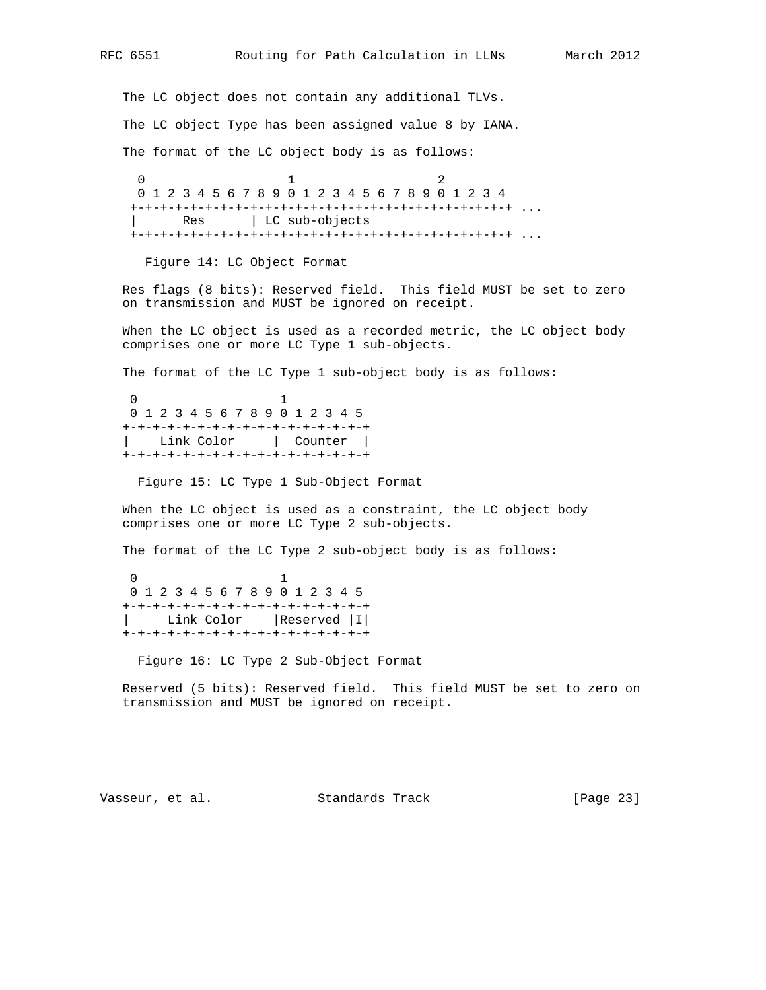The LC object does not contain any additional TLVs. The LC object Type has been assigned value 8 by IANA. The format of the LC object body is as follows:  $0$  1 2 0 1 2 3 4 5 6 7 8 9 0 1 2 3 4 5 6 7 8 9 0 1 2 3 4 +-+-+-+-+-+-+-+-+-+-+-+-+-+-+-+-+-+-+-+-+-+-+-+-+-+ ... Res | LC sub-objects +-+-+-+-+-+-+-+-+-+-+-+-+-+-+-+-+-+-+-+-+-+-+-+-+-+ ...

Figure 14: LC Object Format

 Res flags (8 bits): Reserved field. This field MUST be set to zero on transmission and MUST be ignored on receipt.

 When the LC object is used as a recorded metric, the LC object body comprises one or more LC Type 1 sub-objects.

The format of the LC Type 1 sub-object body is as follows:

 0 1 0 1 2 3 4 5 6 7 8 9 0 1 2 3 4 5 +-+-+-+-+-+-+-+-+-+-+-+-+-+-+-+-+ | Link Color | Counter | +-+-+-+-+-+-+-+-+-+-+-+-+-+-+-+-+

Figure 15: LC Type 1 Sub-Object Format

 When the LC object is used as a constraint, the LC object body comprises one or more LC Type 2 sub-objects.

The format of the LC Type 2 sub-object body is as follows:

 0 1 0 1 2 3 4 5 6 7 8 9 0 1 2 3 4 5 +-+-+-+-+-+-+-+-+-+-+-+-+-+-+-+-+ | Link Color |Reserved |I| +-+-+-+-+-+-+-+-+-+-+-+-+-+-+-+-+

Figure 16: LC Type 2 Sub-Object Format

 Reserved (5 bits): Reserved field. This field MUST be set to zero on transmission and MUST be ignored on receipt.

Vasseur, et al. Standards Track [Page 23]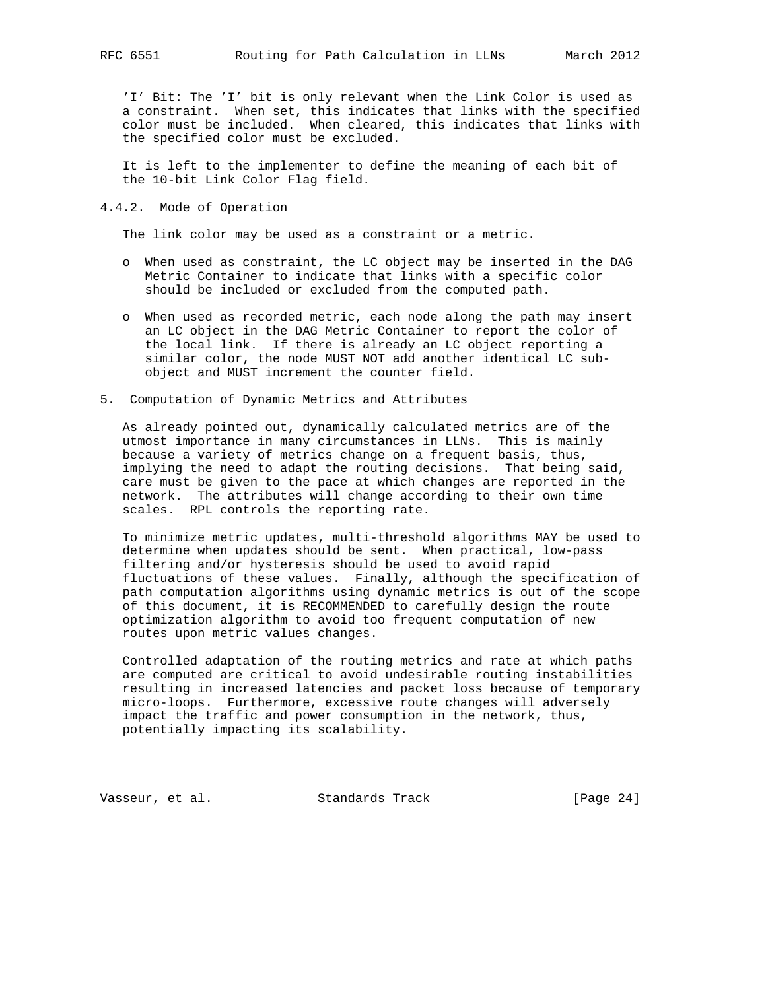'I' Bit: The 'I' bit is only relevant when the Link Color is used as a constraint. When set, this indicates that links with the specified color must be included. When cleared, this indicates that links with the specified color must be excluded.

 It is left to the implementer to define the meaning of each bit of the 10-bit Link Color Flag field.

4.4.2. Mode of Operation

The link color may be used as a constraint or a metric.

- o When used as constraint, the LC object may be inserted in the DAG Metric Container to indicate that links with a specific color should be included or excluded from the computed path.
- o When used as recorded metric, each node along the path may insert an LC object in the DAG Metric Container to report the color of the local link. If there is already an LC object reporting a similar color, the node MUST NOT add another identical LC sub object and MUST increment the counter field.
- 5. Computation of Dynamic Metrics and Attributes

 As already pointed out, dynamically calculated metrics are of the utmost importance in many circumstances in LLNs. This is mainly because a variety of metrics change on a frequent basis, thus, implying the need to adapt the routing decisions. That being said, care must be given to the pace at which changes are reported in the network. The attributes will change according to their own time scales. RPL controls the reporting rate.

 To minimize metric updates, multi-threshold algorithms MAY be used to determine when updates should be sent. When practical, low-pass filtering and/or hysteresis should be used to avoid rapid fluctuations of these values. Finally, although the specification of path computation algorithms using dynamic metrics is out of the scope of this document, it is RECOMMENDED to carefully design the route optimization algorithm to avoid too frequent computation of new routes upon metric values changes.

 Controlled adaptation of the routing metrics and rate at which paths are computed are critical to avoid undesirable routing instabilities resulting in increased latencies and packet loss because of temporary micro-loops. Furthermore, excessive route changes will adversely impact the traffic and power consumption in the network, thus, potentially impacting its scalability.

Vasseur, et al. Standards Track [Page 24]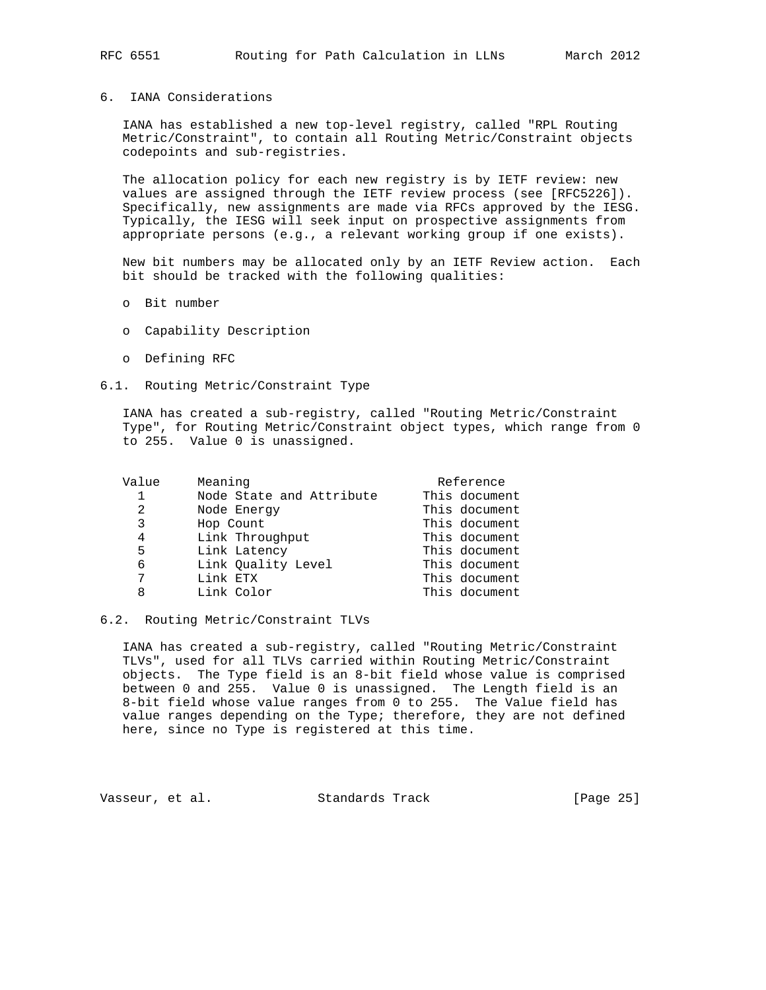## 6. IANA Considerations

 IANA has established a new top-level registry, called "RPL Routing Metric/Constraint", to contain all Routing Metric/Constraint objects codepoints and sub-registries.

 The allocation policy for each new registry is by IETF review: new values are assigned through the IETF review process (see [RFC5226]). Specifically, new assignments are made via RFCs approved by the IESG. Typically, the IESG will seek input on prospective assignments from appropriate persons (e.g., a relevant working group if one exists).

 New bit numbers may be allocated only by an IETF Review action. Each bit should be tracked with the following qualities:

- o Bit number
- o Capability Description
- o Defining RFC

### 6.1. Routing Metric/Constraint Type

 IANA has created a sub-registry, called "Routing Metric/Constraint Type", for Routing Metric/Constraint object types, which range from 0 to 255. Value 0 is unassigned.

| Value | Meaning                  | Reference     |
|-------|--------------------------|---------------|
| 1     | Node State and Attribute | This document |
| 2     | Node Energy              | This document |
| 3     | Hop Count                | This document |
| 4     | Link Throughput          | This document |
| 5     | Link Latency             | This document |
| 6     | Link Quality Level       | This document |
| 7     | Link ETX                 | This document |
| 8     | Link Color               | This document |
|       |                          |               |

#### 6.2. Routing Metric/Constraint TLVs

 IANA has created a sub-registry, called "Routing Metric/Constraint TLVs", used for all TLVs carried within Routing Metric/Constraint objects. The Type field is an 8-bit field whose value is comprised between 0 and 255. Value 0 is unassigned. The Length field is an 8-bit field whose value ranges from 0 to 255. The Value field has value ranges depending on the Type; therefore, they are not defined here, since no Type is registered at this time.

Vasseur, et al. Standards Track [Page 25]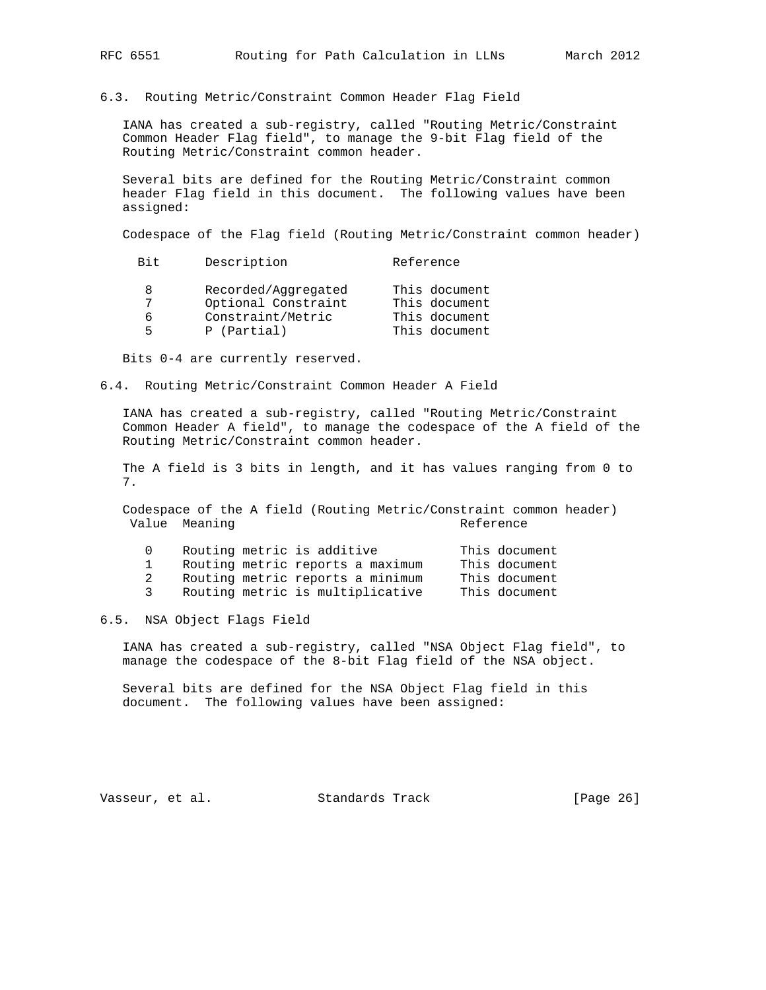#### 6.3. Routing Metric/Constraint Common Header Flag Field

 IANA has created a sub-registry, called "Routing Metric/Constraint Common Header Flag field", to manage the 9-bit Flag field of the Routing Metric/Constraint common header.

 Several bits are defined for the Routing Metric/Constraint common header Flag field in this document. The following values have been assigned:

Codespace of the Flag field (Routing Metric/Constraint common header)

| Bit. | Description         | Reference     |
|------|---------------------|---------------|
|      | Recorded/Aggregated | This document |
|      | Optional Constraint | This document |
|      | Constraint/Metric   | This document |
| ᄃ    | P (Partial)         | This document |

Bits 0-4 are currently reserved.

6.4. Routing Metric/Constraint Common Header A Field

 IANA has created a sub-registry, called "Routing Metric/Constraint Common Header A field", to manage the codespace of the A field of the Routing Metric/Constraint common header.

 The A field is 3 bits in length, and it has values ranging from 0 to 7.

 Codespace of the A field (Routing Metric/Constraint common header) Value Meaning and the Contract of the Reference

|  | Routing metric is additive       |  | This document |
|--|----------------------------------|--|---------------|
|  | Routing metric reports a maximum |  | This document |
|  | Routing metric reports a minimum |  | This document |
|  | Routing metric is multiplicative |  | This document |

6.5. NSA Object Flags Field

 IANA has created a sub-registry, called "NSA Object Flag field", to manage the codespace of the 8-bit Flag field of the NSA object.

 Several bits are defined for the NSA Object Flag field in this document. The following values have been assigned:

Vasseur, et al. Standards Track [Page 26]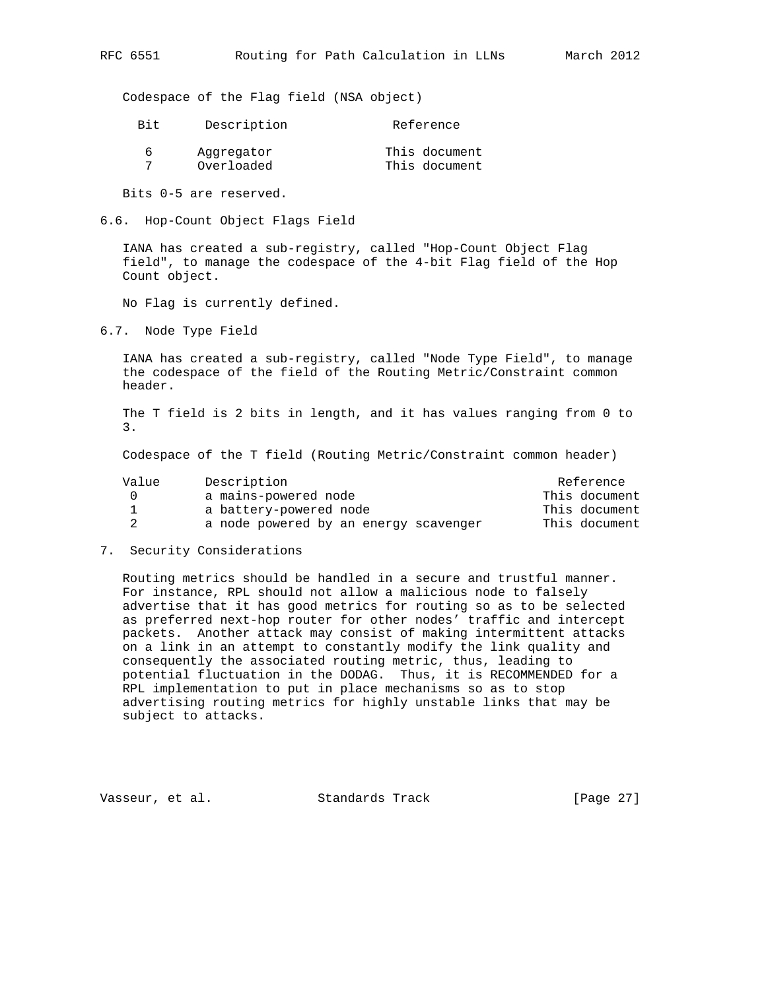Codespace of the Flag field (NSA object)

| Bit | Description | Reference     |
|-----|-------------|---------------|
| h   | Aggregator  | This document |
|     | Overloaded  | This document |

Bits 0-5 are reserved.

6.6. Hop-Count Object Flags Field

 IANA has created a sub-registry, called "Hop-Count Object Flag field", to manage the codespace of the 4-bit Flag field of the Hop Count object.

No Flag is currently defined.

6.7. Node Type Field

 IANA has created a sub-registry, called "Node Type Field", to manage the codespace of the field of the Routing Metric/Constraint common header.

 The T field is 2 bits in length, and it has values ranging from 0 to 3.

Codespace of the T field (Routing Metric/Constraint common header)

| Value    | Description                           | Reference     |  |  |  |  |
|----------|---------------------------------------|---------------|--|--|--|--|
| $\Omega$ | a mains-powered node                  | This document |  |  |  |  |
|          | a battery-powered node                | This document |  |  |  |  |
|          | a node powered by an energy scavenger | This document |  |  |  |  |

7. Security Considerations

 Routing metrics should be handled in a secure and trustful manner. For instance, RPL should not allow a malicious node to falsely advertise that it has good metrics for routing so as to be selected as preferred next-hop router for other nodes' traffic and intercept packets. Another attack may consist of making intermittent attacks on a link in an attempt to constantly modify the link quality and consequently the associated routing metric, thus, leading to potential fluctuation in the DODAG. Thus, it is RECOMMENDED for a RPL implementation to put in place mechanisms so as to stop advertising routing metrics for highly unstable links that may be subject to attacks.

Vasseur, et al. Standards Track [Page 27]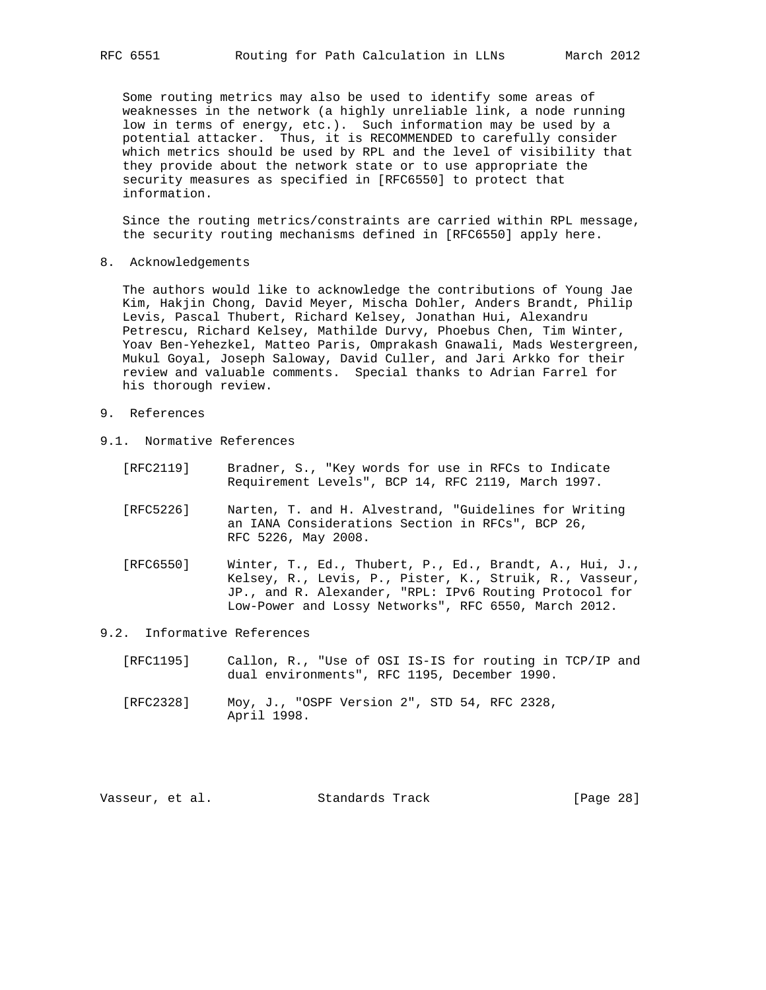Some routing metrics may also be used to identify some areas of weaknesses in the network (a highly unreliable link, a node running low in terms of energy, etc.). Such information may be used by a potential attacker. Thus, it is RECOMMENDED to carefully consider which metrics should be used by RPL and the level of visibility that they provide about the network state or to use appropriate the security measures as specified in [RFC6550] to protect that information.

 Since the routing metrics/constraints are carried within RPL message, the security routing mechanisms defined in [RFC6550] apply here.

8. Acknowledgements

 The authors would like to acknowledge the contributions of Young Jae Kim, Hakjin Chong, David Meyer, Mischa Dohler, Anders Brandt, Philip Levis, Pascal Thubert, Richard Kelsey, Jonathan Hui, Alexandru Petrescu, Richard Kelsey, Mathilde Durvy, Phoebus Chen, Tim Winter, Yoav Ben-Yehezkel, Matteo Paris, Omprakash Gnawali, Mads Westergreen, Mukul Goyal, Joseph Saloway, David Culler, and Jari Arkko for their review and valuable comments. Special thanks to Adrian Farrel for his thorough review.

- 9. References
- 9.1. Normative References
	- [RFC2119] Bradner, S., "Key words for use in RFCs to Indicate Requirement Levels", BCP 14, RFC 2119, March 1997.
	- [RFC5226] Narten, T. and H. Alvestrand, "Guidelines for Writing an IANA Considerations Section in RFCs", BCP 26, RFC 5226, May 2008.
	- [RFC6550] Winter, T., Ed., Thubert, P., Ed., Brandt, A., Hui, J., Kelsey, R., Levis, P., Pister, K., Struik, R., Vasseur, JP., and R. Alexander, "RPL: IPv6 Routing Protocol for Low-Power and Lossy Networks", RFC 6550, March 2012.

#### 9.2. Informative References

- [RFC1195] Callon, R., "Use of OSI IS-IS for routing in TCP/IP and dual environments", RFC 1195, December 1990.
- [RFC2328] Moy, J., "OSPF Version 2", STD 54, RFC 2328, April 1998.

| Vasseur, et al. |  |  | Standards Track |  | [Page 28] |  |
|-----------------|--|--|-----------------|--|-----------|--|
|-----------------|--|--|-----------------|--|-----------|--|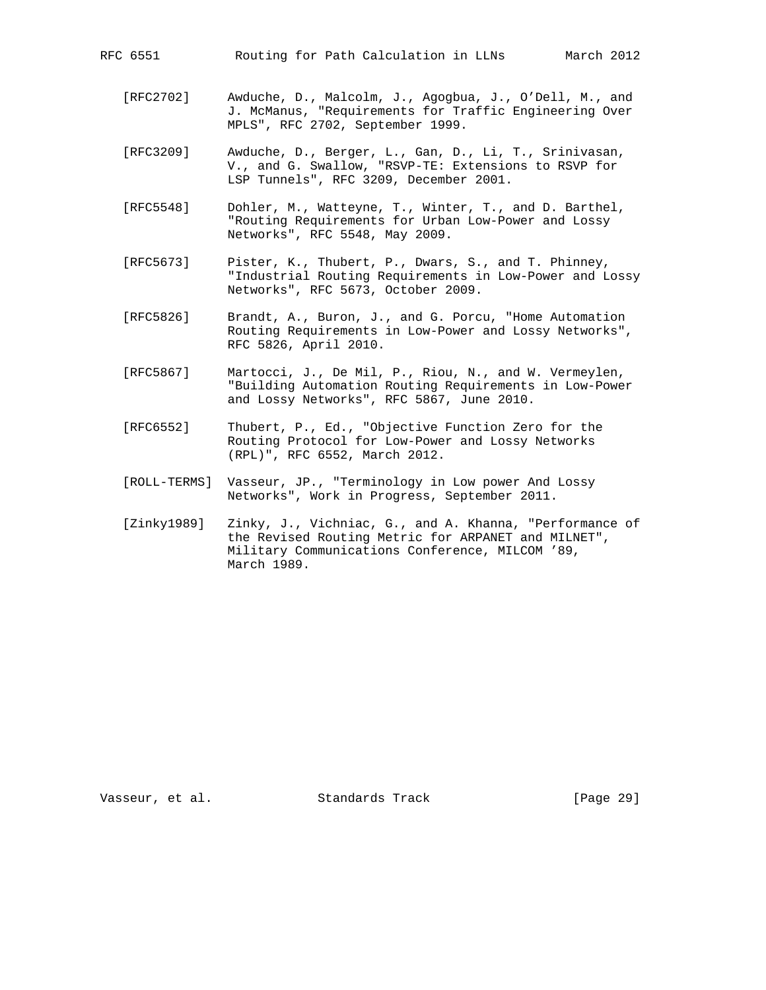- [RFC2702] Awduche, D., Malcolm, J., Agogbua, J., O'Dell, M., and J. McManus, "Requirements for Traffic Engineering Over MPLS", RFC 2702, September 1999.
- [RFC3209] Awduche, D., Berger, L., Gan, D., Li, T., Srinivasan, V., and G. Swallow, "RSVP-TE: Extensions to RSVP for LSP Tunnels", RFC 3209, December 2001.
- [RFC5548] Dohler, M., Watteyne, T., Winter, T., and D. Barthel, "Routing Requirements for Urban Low-Power and Lossy Networks", RFC 5548, May 2009.
- [RFC5673] Pister, K., Thubert, P., Dwars, S., and T. Phinney, "Industrial Routing Requirements in Low-Power and Lossy Networks", RFC 5673, October 2009.
- [RFC5826] Brandt, A., Buron, J., and G. Porcu, "Home Automation Routing Requirements in Low-Power and Lossy Networks", RFC 5826, April 2010.
- [RFC5867] Martocci, J., De Mil, P., Riou, N., and W. Vermeylen, "Building Automation Routing Requirements in Low-Power and Lossy Networks", RFC 5867, June 2010.
- [RFC6552] Thubert, P., Ed., "Objective Function Zero for the Routing Protocol for Low-Power and Lossy Networks (RPL)", RFC 6552, March 2012.
- [ROLL-TERMS] Vasseur, JP., "Terminology in Low power And Lossy Networks", Work in Progress, September 2011.
- [Zinky1989] Zinky, J., Vichniac, G., and A. Khanna, "Performance of the Revised Routing Metric for ARPANET and MILNET", Military Communications Conference, MILCOM '89, March 1989.

Vasseur, et al. Standards Track [Page 29]